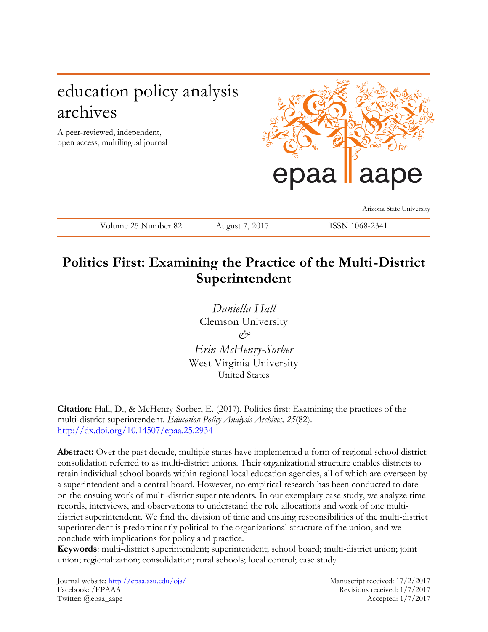# education policy analysis archives

A peer-reviewed, independent, open access, multilingual journal



Arizona State University

Volume 25 Number 82 August 7, 2017 ISSN 1068-2341

# **Politics First: Examining the Practice of the Multi-District Superintendent**

*Daniella Hall* Clemson University  $\varphi \rightarrow$ *Erin McHenry-Sorber* West Virginia University United States

**Citation**: Hall, D., & McHenry-Sorber, E. (2017). Politics first: Examining the practices of the multi-district superintendent. *Education Policy Analysis Archives, 25*(82). <http://dx.doi.org/10.14507/epaa.25.2934>

**Abstract:** Over the past decade, multiple states have implemented a form of regional school district consolidation referred to as multi-district unions. Their organizational structure enables districts to retain individual school boards within regional local education agencies, all of which are overseen by a superintendent and a central board. However, no empirical research has been conducted to date on the ensuing work of multi-district superintendents. In our exemplary case study, we analyze time records, interviews, and observations to understand the role allocations and work of one multidistrict superintendent. We find the division of time and ensuing responsibilities of the multi-district superintendent is predominantly political to the organizational structure of the union, and we conclude with implications for policy and practice.

**Keywords**: multi-district superintendent; superintendent; school board; multi-district union; joint union; regionalization; consolidation; rural schools; local control; case study

Journal website:<http://epaa.asu.edu/ojs/> Manuscript received: 17/2/2017 Facebook: /EPAAA Revisions received: 1/7/2017 Twitter: @epaa\_aape Accepted: 1/7/2017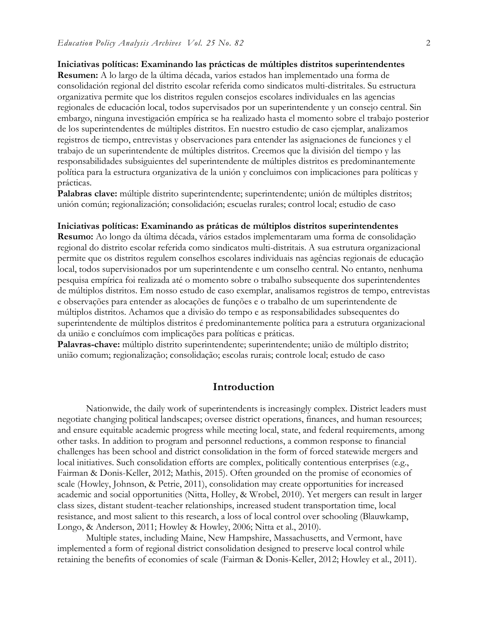#### **Iniciativas políticas: Examinando las prácticas de múltiples distritos superintendentes**

**Resumen:** A lo largo de la última década, varios estados han implementado una forma de consolidación regional del distrito escolar referida como sindicatos multi-distritales. Su estructura organizativa permite que los distritos regulen consejos escolares individuales en las agencias regionales de educación local, todos supervisados por un superintendente y un consejo central. Sin embargo, ninguna investigación empírica se ha realizado hasta el momento sobre el trabajo posterior de los superintendentes de múltiples distritos. En nuestro estudio de caso ejemplar, analizamos registros de tiempo, entrevistas y observaciones para entender las asignaciones de funciones y el trabajo de un superintendente de múltiples distritos. Creemos que la división del tiempo y las responsabilidades subsiguientes del superintendente de múltiples distritos es predominantemente política para la estructura organizativa de la unión y concluimos con implicaciones para políticas y prácticas.

Palabras clave: múltiple distrito superintendente; superintendente; unión de múltiples distritos; unión común; regionalización; consolidación; escuelas rurales; control local; estudio de caso

#### **Iniciativas políticas: Examinando as práticas de múltiplos distritos superintendentes**

**Resumo:** Ao longo da última década, vários estados implementaram uma forma de consolidação regional do distrito escolar referida como sindicatos multi-distritais. A sua estrutura organizacional permite que os distritos regulem conselhos escolares individuais nas agências regionais de educação local, todos supervisionados por um superintendente e um conselho central. No entanto, nenhuma pesquisa empírica foi realizada até o momento sobre o trabalho subsequente dos superintendentes de múltiplos distritos. Em nosso estudo de caso exemplar, analisamos registros de tempo, entrevistas e observações para entender as alocações de funções e o trabalho de um superintendente de múltiplos distritos. Achamos que a divisão do tempo e as responsabilidades subsequentes do superintendente de múltiplos distritos é predominantemente política para a estrutura organizacional da união e concluímos com implicações para políticas e práticas.

**Palavras-chave:** múltiplo distrito superintendente; superintendente; união de múltiplo distrito; união comum; regionalização; consolidação; escolas rurais; controle local; estudo de caso

### **Introduction**

Nationwide, the daily work of superintendents is increasingly complex. District leaders must negotiate changing political landscapes; oversee district operations, finances, and human resources; and ensure equitable academic progress while meeting local, state, and federal requirements, among other tasks. In addition to program and personnel reductions, a common response to financial challenges has been school and district consolidation in the form of forced statewide mergers and local initiatives. Such consolidation efforts are complex, politically contentious enterprises (e.g., Fairman & Donis-Keller, 2012; Mathis, 2015). Often grounded on the promise of economies of scale (Howley, Johnson, & Petrie, 2011), consolidation may create opportunities for increased academic and social opportunities (Nitta, Holley, & Wrobel, 2010). Yet mergers can result in larger class sizes, distant student-teacher relationships, increased student transportation time, local resistance, and most salient to this research, a loss of local control over schooling (Blauwkamp, Longo, & Anderson, 2011; Howley & Howley, 2006; Nitta et al., 2010).

Multiple states, including Maine, New Hampshire, Massachusetts, and Vermont, have implemented a form of regional district consolidation designed to preserve local control while retaining the benefits of economies of scale (Fairman & Donis-Keller, 2012; Howley et al., 2011).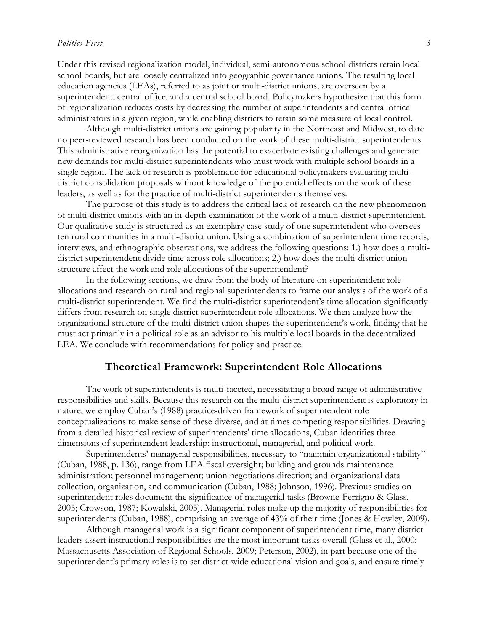Under this revised regionalization model, individual, semi-autonomous school districts retain local school boards, but are loosely centralized into geographic governance unions. The resulting local education agencies (LEAs), referred to as joint or multi-district unions, are overseen by a superintendent, central office, and a central school board. Policymakers hypothesize that this form of regionalization reduces costs by decreasing the number of superintendents and central office administrators in a given region, while enabling districts to retain some measure of local control.

Although multi-district unions are gaining popularity in the Northeast and Midwest, to date no peer-reviewed research has been conducted on the work of these multi-district superintendents. This administrative reorganization has the potential to exacerbate existing challenges and generate new demands for multi-district superintendents who must work with multiple school boards in a single region. The lack of research is problematic for educational policymakers evaluating multidistrict consolidation proposals without knowledge of the potential effects on the work of these leaders, as well as for the practice of multi-district superintendents themselves.

The purpose of this study is to address the critical lack of research on the new phenomenon of multi-district unions with an in-depth examination of the work of a multi-district superintendent. Our qualitative study is structured as an exemplary case study of one superintendent who oversees ten rural communities in a multi-district union. Using a combination of superintendent time records, interviews, and ethnographic observations, we address the following questions: 1.) how does a multidistrict superintendent divide time across role allocations; 2.) how does the multi-district union structure affect the work and role allocations of the superintendent?

In the following sections, we draw from the body of literature on superintendent role allocations and research on rural and regional superintendents to frame our analysis of the work of a multi-district superintendent. We find the multi-district superintendent's time allocation significantly differs from research on single district superintendent role allocations. We then analyze how the organizational structure of the multi-district union shapes the superintendent's work, finding that he must act primarily in a political role as an advisor to his multiple local boards in the decentralized LEA. We conclude with recommendations for policy and practice.

## **Theoretical Framework: Superintendent Role Allocations**

The work of superintendents is multi-faceted, necessitating a broad range of administrative responsibilities and skills. Because this research on the multi-district superintendent is exploratory in nature, we employ Cuban's (1988) practice-driven framework of superintendent role conceptualizations to make sense of these diverse, and at times competing responsibilities. Drawing from a detailed historical review of superintendents' time allocations, Cuban identifies three dimensions of superintendent leadership: instructional, managerial, and political work.

Superintendents' managerial responsibilities, necessary to "maintain organizational stability" (Cuban, 1988, p. 136), range from LEA fiscal oversight; building and grounds maintenance administration; personnel management; union negotiations direction; and organizational data collection, organization, and communication (Cuban, 1988; Johnson, 1996). Previous studies on superintendent roles document the significance of managerial tasks (Browne-Ferrigno & Glass, 2005; Crowson, 1987; Kowalski, 2005). Managerial roles make up the majority of responsibilities for superintendents (Cuban, 1988), comprising an average of 43% of their time (Jones & Howley, 2009).

Although managerial work is a significant component of superintendent time, many district leaders assert instructional responsibilities are the most important tasks overall (Glass et al., 2000; Massachusetts Association of Regional Schools, 2009; Peterson, 2002), in part because one of the superintendent's primary roles is to set district-wide educational vision and goals, and ensure timely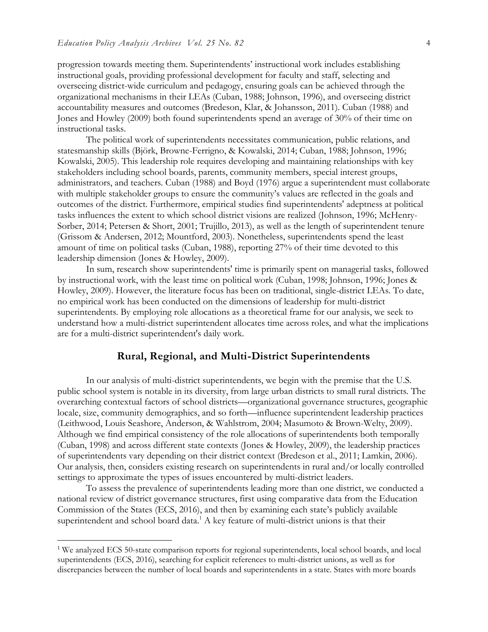progression towards meeting them. Superintendents' instructional work includes establishing instructional goals, providing professional development for faculty and staff, selecting and overseeing district-wide curriculum and pedagogy, ensuring goals can be achieved through the organizational mechanisms in their LEAs (Cuban, 1988; Johnson, 1996), and overseeing district accountability measures and outcomes (Bredeson, Klar, & Johansson, 2011). Cuban (1988) and Jones and Howley (2009) both found superintendents spend an average of 30% of their time on instructional tasks.

The political work of superintendents necessitates communication, public relations, and statesmanship skills (Björk, Browne-Ferrigno, & Kowalski, 2014; Cuban, 1988; Johnson, 1996; Kowalski, 2005). This leadership role requires developing and maintaining relationships with key stakeholders including school boards, parents, community members, special interest groups, administrators, and teachers. Cuban (1988) and Boyd (1976) argue a superintendent must collaborate with multiple stakeholder groups to ensure the community's values are reflected in the goals and outcomes of the district. Furthermore, empirical studies find superintendents' adeptness at political tasks influences the extent to which school district visions are realized (Johnson, 1996; McHenry-Sorber, 2014; Petersen & Short, 2001; Trujillo, 2013), as well as the length of superintendent tenure (Grissom & Andersen, 2012; Mountford, 2003). Nonetheless, superintendents spend the least amount of time on political tasks (Cuban, 1988), reporting 27% of their time devoted to this leadership dimension (Jones & Howley, 2009).

In sum, research show superintendents' time is primarily spent on managerial tasks, followed by instructional work, with the least time on political work (Cuban, 1998; Johnson, 1996; Jones & Howley, 2009). However, the literature focus has been on traditional, single-district LEAs. To date, no empirical work has been conducted on the dimensions of leadership for multi-district superintendents. By employing role allocations as a theoretical frame for our analysis, we seek to understand how a multi-district superintendent allocates time across roles, and what the implications are for a multi-district superintendent's daily work.

## **Rural, Regional, and Multi-District Superintendents**

In our analysis of multi-district superintendents, we begin with the premise that the U.S. public school system is notable in its diversity, from large urban districts to small rural districts. The overarching contextual factors of school districts—organizational governance structures, geographic locale, size, community demographics, and so forth—influence superintendent leadership practices (Leithwood, Louis Seashore, Anderson, & Wahlstrom, 2004; Masumoto & Brown-Welty, 2009). Although we find empirical consistency of the role allocations of superintendents both temporally (Cuban, 1998) and across different state contexts (Jones & Howley, 2009), the leadership practices of superintendents vary depending on their district context (Bredeson et al., 2011; Lamkin, 2006). Our analysis, then, considers existing research on superintendents in rural and/or locally controlled settings to approximate the types of issues encountered by multi-district leaders.

To assess the prevalence of superintendents leading more than one district, we conducted a national review of district governance structures, first using comparative data from the Education Commission of the States (ECS, 2016), and then by examining each state's publicly available superintendent and school board data.<sup>1</sup> A key feature of multi-district unions is that their

 $\overline{a}$ 

<sup>&</sup>lt;sup>1</sup> We analyzed ECS 50-state comparison reports for regional superintendents, local school boards, and local superintendents (ECS, 2016), searching for explicit references to multi-district unions, as well as for discrepancies between the number of local boards and superintendents in a state. States with more boards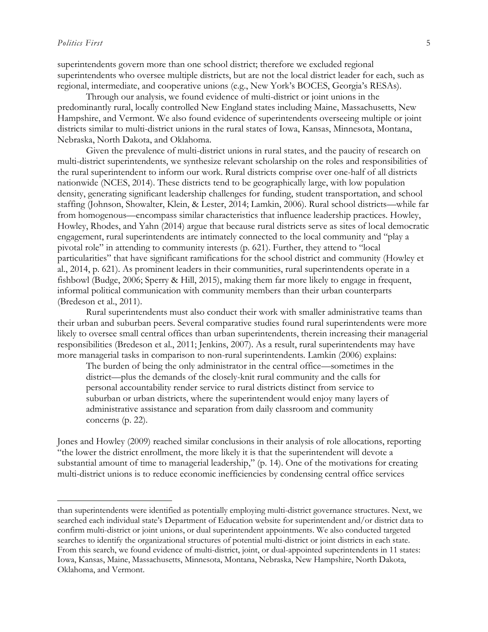$\overline{a}$ 

superintendents govern more than one school district; therefore we excluded regional superintendents who oversee multiple districts, but are not the local district leader for each, such as regional, intermediate, and cooperative unions (e.g., New York's BOCES, Georgia's RESAs).

Through our analysis, we found evidence of multi-district or joint unions in the predominantly rural, locally controlled New England states including Maine, Massachusetts, New Hampshire, and Vermont. We also found evidence of superintendents overseeing multiple or joint districts similar to multi-district unions in the rural states of Iowa, Kansas, Minnesota, Montana, Nebraska, North Dakota, and Oklahoma.

Given the prevalence of multi-district unions in rural states, and the paucity of research on multi-district superintendents, we synthesize relevant scholarship on the roles and responsibilities of the rural superintendent to inform our work. Rural districts comprise over one-half of all districts nationwide (NCES, 2014). These districts tend to be geographically large, with low population density, generating significant leadership challenges for funding, student transportation, and school staffing (Johnson, Showalter, Klein, & Lester, 2014; Lamkin, 2006). Rural school districts—while far from homogenous—encompass similar characteristics that influence leadership practices. Howley, Howley, Rhodes, and Yahn (2014) argue that because rural districts serve as sites of local democratic engagement, rural superintendents are intimately connected to the local community and "play a pivotal role" in attending to community interests (p. 621). Further, they attend to "local particularities" that have significant ramifications for the school district and community (Howley et al., 2014, p. 621). As prominent leaders in their communities, rural superintendents operate in a fishbowl (Budge, 2006; Sperry & Hill, 2015), making them far more likely to engage in frequent, informal political communication with community members than their urban counterparts (Bredeson et al., 2011).

Rural superintendents must also conduct their work with smaller administrative teams than their urban and suburban peers. Several comparative studies found rural superintendents were more likely to oversee small central offices than urban superintendents, therein increasing their managerial responsibilities (Bredeson et al., 2011; Jenkins, 2007). As a result, rural superintendents may have more managerial tasks in comparison to non-rural superintendents. Lamkin (2006) explains:

The burden of being the only administrator in the central office—sometimes in the district––plus the demands of the closely-knit rural community and the calls for personal accountability render service to rural districts distinct from service to suburban or urban districts, where the superintendent would enjoy many layers of administrative assistance and separation from daily classroom and community concerns (p. 22).

Jones and Howley (2009) reached similar conclusions in their analysis of role allocations, reporting "the lower the district enrollment, the more likely it is that the superintendent will devote a substantial amount of time to managerial leadership," (p. 14). One of the motivations for creating multi-district unions is to reduce economic inefficiencies by condensing central office services

than superintendents were identified as potentially employing multi-district governance structures. Next, we searched each individual state's Department of Education website for superintendent and/or district data to confirm multi-district or joint unions, or dual superintendent appointments. We also conducted targeted searches to identify the organizational structures of potential multi-district or joint districts in each state. From this search, we found evidence of multi-district, joint, or dual-appointed superintendents in 11 states: Iowa, Kansas, Maine, Massachusetts, Minnesota, Montana, Nebraska, New Hampshire, North Dakota, Oklahoma, and Vermont.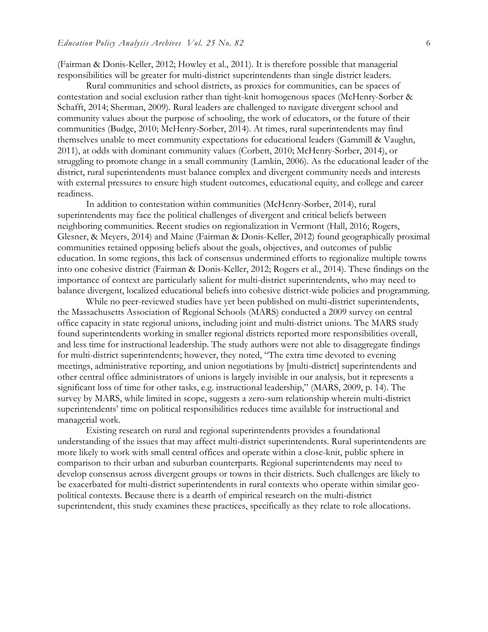(Fairman & Donis-Keller, 2012; Howley et al., 2011). It is therefore possible that managerial responsibilities will be greater for multi-district superintendents than single district leaders.

Rural communities and school districts, as proxies for communities, can be spaces of contestation and social exclusion rather than tight-knit homogenous spaces (McHenry-Sorber & Schafft, 2014; Sherman, 2009). Rural leaders are challenged to navigate divergent school and community values about the purpose of schooling, the work of educators, or the future of their communities (Budge, 2010; McHenry-Sorber, 2014). At times, rural superintendents may find themselves unable to meet community expectations for educational leaders (Gammill & Vaughn, 2011), at odds with dominant community values (Corbett, 2010; McHenry-Sorber, 2014), or struggling to promote change in a small community (Lamkin, 2006). As the educational leader of the district, rural superintendents must balance complex and divergent community needs and interests with external pressures to ensure high student outcomes, educational equity, and college and career readiness.

In addition to contestation within communities (McHenry-Sorber, 2014), rural superintendents may face the political challenges of divergent and critical beliefs between neighboring communities. Recent studies on regionalization in Vermont (Hall, 2016; Rogers, Glesner, & Meyers, 2014) and Maine (Fairman & Donis-Keller, 2012) found geographically proximal communities retained opposing beliefs about the goals, objectives, and outcomes of public education. In some regions, this lack of consensus undermined efforts to regionalize multiple towns into one cohesive district (Fairman & Donis-Keller, 2012; Rogers et al., 2014). These findings on the importance of context are particularly salient for multi-district superintendents, who may need to balance divergent, localized educational beliefs into cohesive district-wide policies and programming.

While no peer-reviewed studies have yet been published on multi-district superintendents, the Massachusetts Association of Regional Schools (MARS) conducted a 2009 survey on central office capacity in state regional unions, including joint and multi-district unions. The MARS study found superintendents working in smaller regional districts reported more responsibilities overall, and less time for instructional leadership. The study authors were not able to disaggregate findings for multi-district superintendents; however, they noted, "The extra time devoted to evening meetings, administrative reporting, and union negotiations by [multi-district] superintendents and other central office administrators of unions is largely invisible in our analysis, but it represents a significant loss of time for other tasks, e.g. instructional leadership," (MARS, 2009, p. 14). The survey by MARS, while limited in scope, suggests a zero-sum relationship wherein multi-district superintendents' time on political responsibilities reduces time available for instructional and managerial work.

Existing research on rural and regional superintendents provides a foundational understanding of the issues that may affect multi-district superintendents. Rural superintendents are more likely to work with small central offices and operate within a close-knit, public sphere in comparison to their urban and suburban counterparts. Regional superintendents may need to develop consensus across divergent groups or towns in their districts. Such challenges are likely to be exacerbated for multi-district superintendents in rural contexts who operate within similar geopolitical contexts. Because there is a dearth of empirical research on the multi-district superintendent, this study examines these practices, specifically as they relate to role allocations.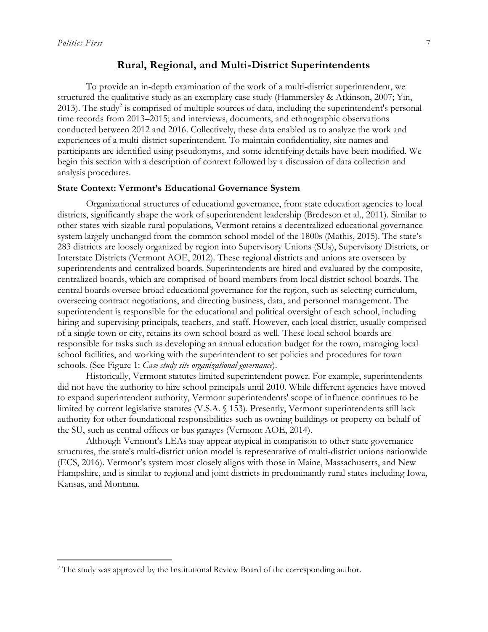$\overline{a}$ 

# **Rural, Regional, and Multi-District Superintendents**

To provide an in-depth examination of the work of a multi-district superintendent, we structured the qualitative study as an exemplary case study (Hammersley & Atkinson, 2007; Yin, 2013). The study<sup>2</sup> is comprised of multiple sources of data, including the superintendent's personal time records from 2013–2015; and interviews, documents, and ethnographic observations conducted between 2012 and 2016. Collectively, these data enabled us to analyze the work and experiences of a multi-district superintendent. To maintain confidentiality, site names and participants are identified using pseudonyms, and some identifying details have been modified. We begin this section with a description of context followed by a discussion of data collection and analysis procedures.

#### **State Context: Vermont's Educational Governance System**

Organizational structures of educational governance, from state education agencies to local districts, significantly shape the work of superintendent leadership (Bredeson et al., 2011). Similar to other states with sizable rural populations, Vermont retains a decentralized educational governance system largely unchanged from the common school model of the 1800s (Mathis, 2015). The state's 283 districts are loosely organized by region into Supervisory Unions (SUs), Supervisory Districts, or Interstate Districts (Vermont AOE, 2012). These regional districts and unions are overseen by superintendents and centralized boards. Superintendents are hired and evaluated by the composite, centralized boards, which are comprised of board members from local district school boards. The central boards oversee broad educational governance for the region, such as selecting curriculum, overseeing contract negotiations, and directing business, data, and personnel management. The superintendent is responsible for the educational and political oversight of each school, including hiring and supervising principals, teachers, and staff. However, each local district, usually comprised of a single town or city, retains its own school board as well. These local school boards are responsible for tasks such as developing an annual education budget for the town, managing local school facilities, and working with the superintendent to set policies and procedures for town schools. (See Figure 1: *Case study site organizational governance*).

Historically, Vermont statutes limited superintendent power. For example, superintendents did not have the authority to hire school principals until 2010. While different agencies have moved to expand superintendent authority, Vermont superintendents' scope of influence continues to be limited by current legislative statutes (V.S.A. § 153). Presently, Vermont superintendents still lack authority for other foundational responsibilities such as owning buildings or property on behalf of the SU, such as central offices or bus garages (Vermont AOE, 2014).

Although Vermont's LEAs may appear atypical in comparison to other state governance structures, the state's multi-district union model is representative of multi-district unions nationwide (ECS, 2016). Vermont's system most closely aligns with those in Maine, Massachusetts, and New Hampshire, and is similar to regional and joint districts in predominantly rural states including Iowa, Kansas, and Montana.

<sup>&</sup>lt;sup>2</sup> The study was approved by the Institutional Review Board of the corresponding author.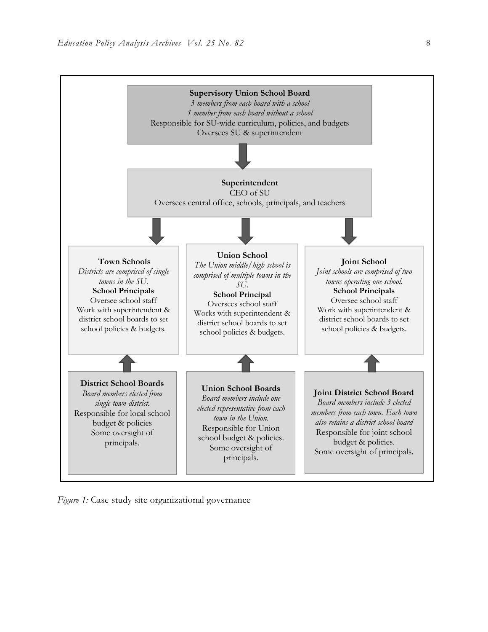

*Figure 1:* Case study site organizational governance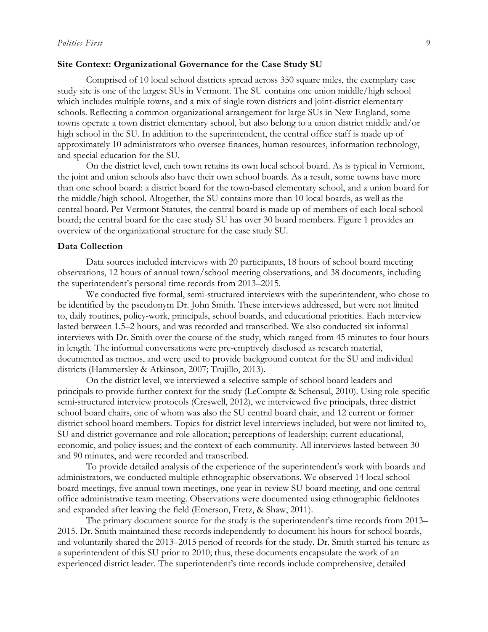#### **Site Context: Organizational Governance for the Case Study SU**

Comprised of 10 local school districts spread across 350 square miles, the exemplary case study site is one of the largest SUs in Vermont. The SU contains one union middle/high school which includes multiple towns, and a mix of single town districts and joint-district elementary schools. Reflecting a common organizational arrangement for large SUs in New England, some towns operate a town district elementary school, but also belong to a union district middle and/or high school in the SU. In addition to the superintendent, the central office staff is made up of approximately 10 administrators who oversee finances, human resources, information technology, and special education for the SU.

On the district level, each town retains its own local school board. As is typical in Vermont, the joint and union schools also have their own school boards. As a result, some towns have more than one school board: a district board for the town-based elementary school, and a union board for the middle/high school. Altogether, the SU contains more than 10 local boards, as well as the central board. Per Vermont Statutes, the central board is made up of members of each local school board; the central board for the case study SU has over 30 board members. Figure 1 provides an overview of the organizational structure for the case study SU.

### **Data Collection**

Data sources included interviews with 20 participants, 18 hours of school board meeting observations, 12 hours of annual town/school meeting observations, and 38 documents, including the superintendent's personal time records from 2013–2015.

We conducted five formal, semi-structured interviews with the superintendent, who chose to be identified by the pseudonym Dr. John Smith. These interviews addressed, but were not limited to, daily routines, policy-work, principals, school boards, and educational priorities. Each interview lasted between 1.5–2 hours, and was recorded and transcribed. We also conducted six informal interviews with Dr. Smith over the course of the study, which ranged from 45 minutes to four hours in length. The informal conversations were pre-emptively disclosed as research material, documented as memos, and were used to provide background context for the SU and individual districts (Hammersley & Atkinson, 2007; Trujillo, 2013).

On the district level, we interviewed a selective sample of school board leaders and principals to provide further context for the study (LeCompte & Schensul, 2010). Using role-specific semi-structured interview protocols (Creswell, 2012), we interviewed five principals, three district school board chairs, one of whom was also the SU central board chair, and 12 current or former district school board members. Topics for district level interviews included, but were not limited to, SU and district governance and role allocation; perceptions of leadership; current educational, economic, and policy issues; and the context of each community. All interviews lasted between 30 and 90 minutes, and were recorded and transcribed.

To provide detailed analysis of the experience of the superintendent's work with boards and administrators, we conducted multiple ethnographic observations. We observed 14 local school board meetings, five annual town meetings, one year-in-review SU board meeting, and one central office administrative team meeting. Observations were documented using ethnographic fieldnotes and expanded after leaving the field (Emerson, Fretz, & Shaw, 2011).

The primary document source for the study is the superintendent's time records from 2013– 2015. Dr. Smith maintained these records independently to document his hours for school boards, and voluntarily shared the 2013–2015 period of records for the study. Dr. Smith started his tenure as a superintendent of this SU prior to 2010; thus, these documents encapsulate the work of an experienced district leader. The superintendent's time records include comprehensive, detailed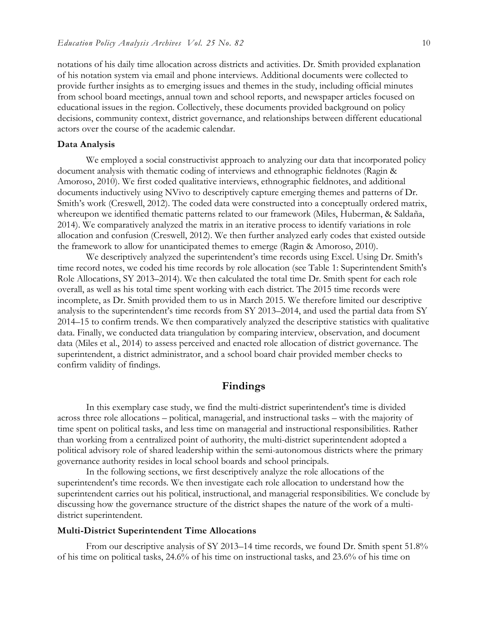notations of his daily time allocation across districts and activities. Dr. Smith provided explanation of his notation system via email and phone interviews. Additional documents were collected to provide further insights as to emerging issues and themes in the study, including official minutes from school board meetings, annual town and school reports, and newspaper articles focused on educational issues in the region. Collectively, these documents provided background on policy decisions, community context, district governance, and relationships between different educational actors over the course of the academic calendar.

# **Data Analysis**

We employed a social constructivist approach to analyzing our data that incorporated policy document analysis with thematic coding of interviews and ethnographic fieldnotes (Ragin & Amoroso, 2010). We first coded qualitative interviews, ethnographic fieldnotes, and additional documents inductively using NVivo to descriptively capture emerging themes and patterns of Dr. Smith's work (Creswell, 2012). The coded data were constructed into a conceptually ordered matrix, whereupon we identified thematic patterns related to our framework (Miles, Huberman, & Saldaña, 2014). We comparatively analyzed the matrix in an iterative process to identify variations in role allocation and confusion (Creswell, 2012). We then further analyzed early codes that existed outside the framework to allow for unanticipated themes to emerge (Ragin & Amoroso, 2010).

We descriptively analyzed the superintendent's time records using Excel. Using Dr. Smith's time record notes, we coded his time records by role allocation (see Table 1: Superintendent Smith's Role Allocations, SY 2013–2014). We then calculated the total time Dr. Smith spent for each role overall, as well as his total time spent working with each district. The 2015 time records were incomplete, as Dr. Smith provided them to us in March 2015. We therefore limited our descriptive analysis to the superintendent's time records from SY 2013–2014, and used the partial data from SY 2014–15 to confirm trends. We then comparatively analyzed the descriptive statistics with qualitative data. Finally, we conducted data triangulation by comparing interview, observation, and document data (Miles et al., 2014) to assess perceived and enacted role allocation of district governance. The superintendent, a district administrator, and a school board chair provided member checks to confirm validity of findings.

# **Findings**

In this exemplary case study, we find the multi-district superintendent's time is divided across three role allocations – political, managerial, and instructional tasks – with the majority of time spent on political tasks, and less time on managerial and instructional responsibilities. Rather than working from a centralized point of authority, the multi-district superintendent adopted a political advisory role of shared leadership within the semi-autonomous districts where the primary governance authority resides in local school boards and school principals.

In the following sections, we first descriptively analyze the role allocations of the superintendent's time records. We then investigate each role allocation to understand how the superintendent carries out his political, instructional, and managerial responsibilities. We conclude by discussing how the governance structure of the district shapes the nature of the work of a multidistrict superintendent.

#### **Multi-District Superintendent Time Allocations**

From our descriptive analysis of SY 2013–14 time records, we found Dr. Smith spent 51.8% of his time on political tasks, 24.6% of his time on instructional tasks, and 23.6% of his time on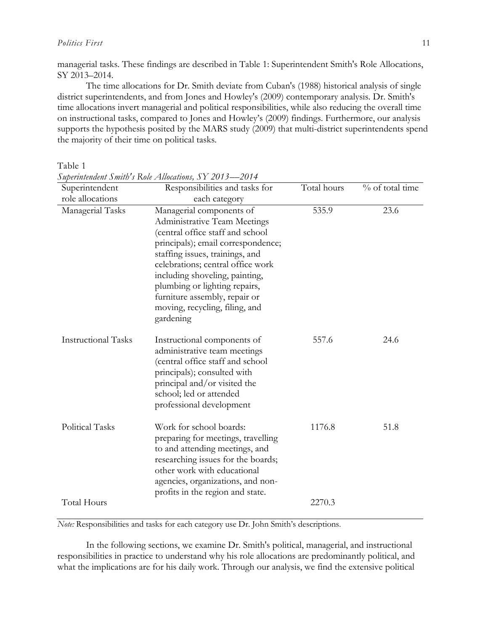## *Politics First* 11

managerial tasks. These findings are described in Table 1: Superintendent Smith's Role Allocations, SY 2013–2014.

The time allocations for Dr. Smith deviate from Cuban's (1988) historical analysis of single district superintendents, and from Jones and Howley's (2009) contemporary analysis. Dr. Smith's time allocations invert managerial and political responsibilities, while also reducing the overall time on instructional tasks, compared to Jones and Howley's (2009) findings. Furthermore, our analysis supports the hypothesis posited by the MARS study (2009) that multi-district superintendents spend the majority of their time on political tasks.

Table 1

| Superintendent             | Responsibilities and tasks for                                                                                                                                                                                                                                                                                                                                | Total hours | % of total time |
|----------------------------|---------------------------------------------------------------------------------------------------------------------------------------------------------------------------------------------------------------------------------------------------------------------------------------------------------------------------------------------------------------|-------------|-----------------|
| role allocations           | each category                                                                                                                                                                                                                                                                                                                                                 |             |                 |
| Managerial Tasks           | Managerial components of<br>Administrative Team Meetings<br>(central office staff and school<br>principals); email correspondence;<br>staffing issues, trainings, and<br>celebrations; central office work<br>including shoveling, painting,<br>plumbing or lighting repairs,<br>furniture assembly, repair or<br>moving, recycling, filing, and<br>gardening | 535.9       | 23.6            |
| <b>Instructional Tasks</b> | Instructional components of<br>administrative team meetings<br>(central office staff and school<br>principals); consulted with<br>principal and/or visited the<br>school; led or attended<br>professional development                                                                                                                                         | 557.6       | 24.6            |
| Political Tasks            | Work for school boards:<br>preparing for meetings, travelling<br>to and attending meetings, and<br>researching issues for the boards;<br>other work with educational<br>agencies, organizations, and non-<br>profits in the region and state.                                                                                                                 | 1176.8      | 51.8            |
| Total Hours                |                                                                                                                                                                                                                                                                                                                                                               | 2270.3      |                 |

*Superintendent Smith's Role Allocations, SY 2013––2014*

*Note:* Responsibilities and tasks for each category use Dr. John Smith's descriptions.

In the following sections, we examine Dr. Smith's political, managerial, and instructional responsibilities in practice to understand why his role allocations are predominantly political, and what the implications are for his daily work. Through our analysis, we find the extensive political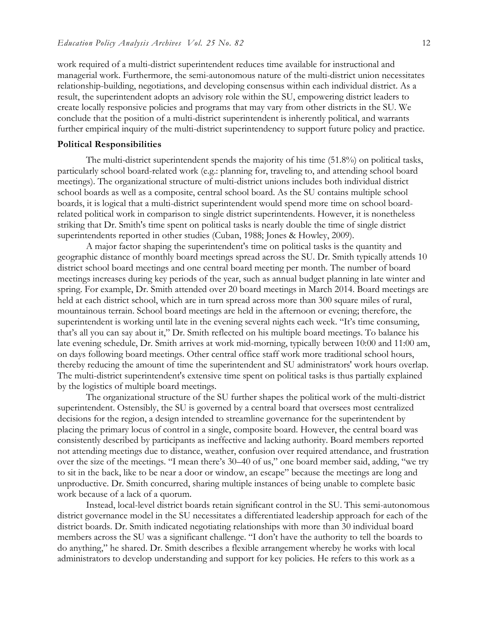work required of a multi-district superintendent reduces time available for instructional and managerial work. Furthermore, the semi-autonomous nature of the multi-district union necessitates relationship-building, negotiations, and developing consensus within each individual district. As a result, the superintendent adopts an advisory role within the SU, empowering district leaders to create locally responsive policies and programs that may vary from other districts in the SU. We conclude that the position of a multi-district superintendent is inherently political, and warrants further empirical inquiry of the multi-district superintendency to support future policy and practice.

## **Political Responsibilities**

The multi-district superintendent spends the majority of his time (51.8%) on political tasks, particularly school board-related work (e.g.: planning for, traveling to, and attending school board meetings). The organizational structure of multi-district unions includes both individual district school boards as well as a composite, central school board. As the SU contains multiple school boards, it is logical that a multi-district superintendent would spend more time on school boardrelated political work in comparison to single district superintendents. However, it is nonetheless striking that Dr. Smith's time spent on political tasks is nearly double the time of single district superintendents reported in other studies (Cuban, 1988; Jones & Howley, 2009).

A major factor shaping the superintendent's time on political tasks is the quantity and geographic distance of monthly board meetings spread across the SU. Dr. Smith typically attends 10 district school board meetings and one central board meeting per month. The number of board meetings increases during key periods of the year, such as annual budget planning in late winter and spring. For example, Dr. Smith attended over 20 board meetings in March 2014. Board meetings are held at each district school, which are in turn spread across more than 300 square miles of rural, mountainous terrain. School board meetings are held in the afternoon or evening; therefore, the superintendent is working until late in the evening several nights each week. "It's time consuming, that's all you can say about it," Dr. Smith reflected on his multiple board meetings. To balance his late evening schedule, Dr. Smith arrives at work mid-morning, typically between 10:00 and 11:00 am, on days following board meetings. Other central office staff work more traditional school hours, thereby reducing the amount of time the superintendent and SU administrators' work hours overlap. The multi-district superintendent's extensive time spent on political tasks is thus partially explained by the logistics of multiple board meetings.

The organizational structure of the SU further shapes the political work of the multi-district superintendent. Ostensibly, the SU is governed by a central board that oversees most centralized decisions for the region, a design intended to streamline governance for the superintendent by placing the primary locus of control in a single, composite board. However, the central board was consistently described by participants as ineffective and lacking authority. Board members reported not attending meetings due to distance, weather, confusion over required attendance, and frustration over the size of the meetings. "I mean there's 30–40 of us," one board member said, adding, "we try to sit in the back, like to be near a door or window, an escape" because the meetings are long and unproductive. Dr. Smith concurred, sharing multiple instances of being unable to complete basic work because of a lack of a quorum.

Instead, local-level district boards retain significant control in the SU. This semi-autonomous district governance model in the SU necessitates a differentiated leadership approach for each of the district boards. Dr. Smith indicated negotiating relationships with more than 30 individual board members across the SU was a significant challenge. "I don't have the authority to tell the boards to do anything," he shared. Dr. Smith describes a flexible arrangement whereby he works with local administrators to develop understanding and support for key policies. He refers to this work as a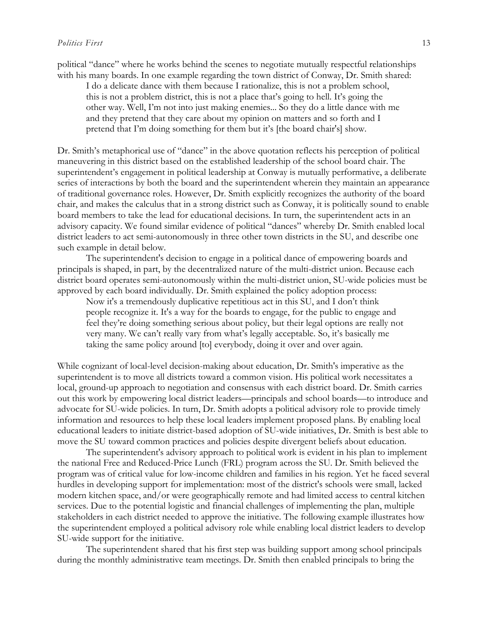#### *Politics First* 13

political "dance" where he works behind the scenes to negotiate mutually respectful relationships with his many boards. In one example regarding the town district of Conway, Dr. Smith shared:

I do a delicate dance with them because I rationalize, this is not a problem school, this is not a problem district, this is not a place that's going to hell. It's going the other way. Well, I'm not into just making enemies... So they do a little dance with me and they pretend that they care about my opinion on matters and so forth and I pretend that I'm doing something for them but it's [the board chair's] show.

Dr. Smith's metaphorical use of "dance" in the above quotation reflects his perception of political maneuvering in this district based on the established leadership of the school board chair. The superintendent's engagement in political leadership at Conway is mutually performative, a deliberate series of interactions by both the board and the superintendent wherein they maintain an appearance of traditional governance roles. However, Dr. Smith explicitly recognizes the authority of the board chair, and makes the calculus that in a strong district such as Conway, it is politically sound to enable board members to take the lead for educational decisions. In turn, the superintendent acts in an advisory capacity. We found similar evidence of political "dances" whereby Dr. Smith enabled local district leaders to act semi-autonomously in three other town districts in the SU, and describe one such example in detail below.

The superintendent's decision to engage in a political dance of empowering boards and principals is shaped, in part, by the decentralized nature of the multi-district union. Because each district board operates semi-autonomously within the multi-district union, SU-wide policies must be approved by each board individually. Dr. Smith explained the policy adoption process:

Now it's a tremendously duplicative repetitious act in this SU, and I don't think people recognize it. It's a way for the boards to engage, for the public to engage and feel they're doing something serious about policy, but their legal options are really not very many. We can't really vary from what's legally acceptable. So, it's basically me taking the same policy around [to] everybody, doing it over and over again.

While cognizant of local-level decision-making about education, Dr. Smith's imperative as the superintendent is to move all districts toward a common vision. His political work necessitates a local, ground-up approach to negotiation and consensus with each district board. Dr. Smith carries out this work by empowering local district leaders—principals and school boards—to introduce and advocate for SU-wide policies. In turn, Dr. Smith adopts a political advisory role to provide timely information and resources to help these local leaders implement proposed plans. By enabling local educational leaders to initiate district-based adoption of SU-wide initiatives, Dr. Smith is best able to move the SU toward common practices and policies despite divergent beliefs about education.

The superintendent's advisory approach to political work is evident in his plan to implement the national Free and Reduced-Price Lunch (FRL) program across the SU. Dr. Smith believed the program was of critical value for low-income children and families in his region. Yet he faced several hurdles in developing support for implementation: most of the district's schools were small, lacked modern kitchen space, and/or were geographically remote and had limited access to central kitchen services. Due to the potential logistic and financial challenges of implementing the plan, multiple stakeholders in each district needed to approve the initiative. The following example illustrates how the superintendent employed a political advisory role while enabling local district leaders to develop SU-wide support for the initiative.

The superintendent shared that his first step was building support among school principals during the monthly administrative team meetings. Dr. Smith then enabled principals to bring the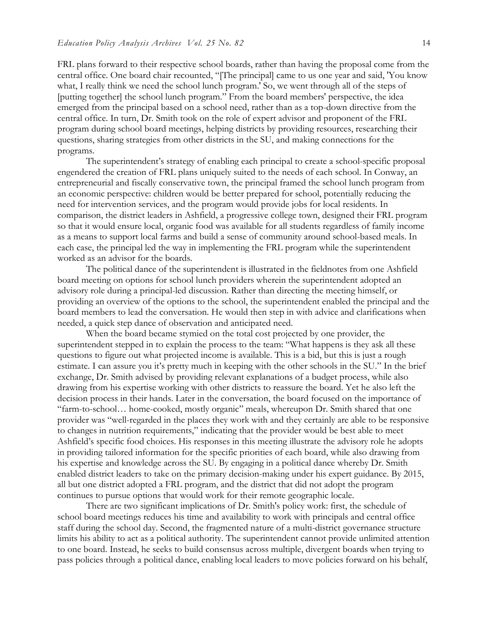FRL plans forward to their respective school boards, rather than having the proposal come from the central office. One board chair recounted, "[The principal] came to us one year and said, 'You know what, I really think we need the school lunch program.' So, we went through all of the steps of [putting together] the school lunch program." From the board members' perspective, the idea emerged from the principal based on a school need, rather than as a top-down directive from the central office. In turn, Dr. Smith took on the role of expert advisor and proponent of the FRL program during school board meetings, helping districts by providing resources, researching their questions, sharing strategies from other districts in the SU, and making connections for the programs.

The superintendent's strategy of enabling each principal to create a school-specific proposal engendered the creation of FRL plans uniquely suited to the needs of each school. In Conway, an entrepreneurial and fiscally conservative town, the principal framed the school lunch program from an economic perspective: children would be better prepared for school, potentially reducing the need for intervention services, and the program would provide jobs for local residents. In comparison, the district leaders in Ashfield, a progressive college town, designed their FRL program so that it would ensure local, organic food was available for all students regardless of family income as a means to support local farms and build a sense of community around school-based meals. In each case, the principal led the way in implementing the FRL program while the superintendent worked as an advisor for the boards.

The political dance of the superintendent is illustrated in the fieldnotes from one Ashfield board meeting on options for school lunch providers wherein the superintendent adopted an advisory role during a principal-led discussion. Rather than directing the meeting himself, or providing an overview of the options to the school, the superintendent enabled the principal and the board members to lead the conversation. He would then step in with advice and clarifications when needed, a quick step dance of observation and anticipated need.

When the board became stymied on the total cost projected by one provider, the superintendent stepped in to explain the process to the team: "What happens is they ask all these questions to figure out what projected income is available. This is a bid, but this is just a rough estimate. I can assure you it's pretty much in keeping with the other schools in the SU." In the brief exchange, Dr. Smith advised by providing relevant explanations of a budget process, while also drawing from his expertise working with other districts to reassure the board. Yet he also left the decision process in their hands. Later in the conversation, the board focused on the importance of "farm-to-school… home-cooked, mostly organic" meals, whereupon Dr. Smith shared that one provider was "well-regarded in the places they work with and they certainly are able to be responsive to changes in nutrition requirements," indicating that the provider would be best able to meet Ashfield's specific food choices. His responses in this meeting illustrate the advisory role he adopts in providing tailored information for the specific priorities of each board, while also drawing from his expertise and knowledge across the SU. By engaging in a political dance whereby Dr. Smith enabled district leaders to take on the primary decision-making under his expert guidance. By 2015, all but one district adopted a FRL program, and the district that did not adopt the program continues to pursue options that would work for their remote geographic locale.

There are two significant implications of Dr. Smith's policy work: first, the schedule of school board meetings reduces his time and availability to work with principals and central office staff during the school day. Second, the fragmented nature of a multi-district governance structure limits his ability to act as a political authority. The superintendent cannot provide unlimited attention to one board. Instead, he seeks to build consensus across multiple, divergent boards when trying to pass policies through a political dance, enabling local leaders to move policies forward on his behalf,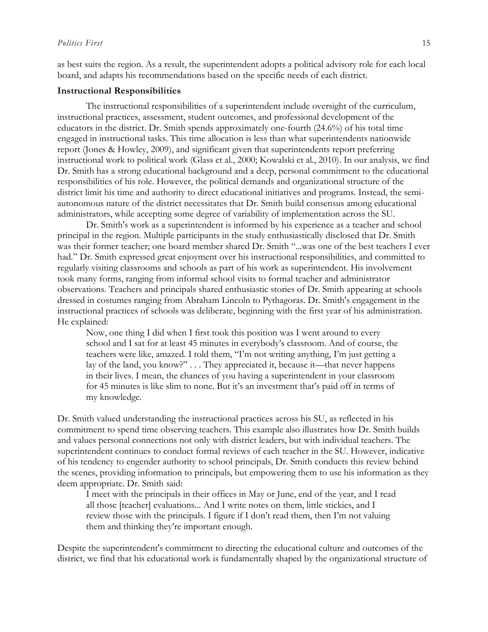as best suits the region. As a result, the superintendent adopts a political advisory role for each local board, and adapts his recommendations based on the specific needs of each district.

#### **Instructional Responsibilities**

The instructional responsibilities of a superintendent include oversight of the curriculum, instructional practices, assessment, student outcomes, and professional development of the educators in the district. Dr. Smith spends approximately one-fourth (24.6%) of his total time engaged in instructional tasks. This time allocation is less than what superintendents nationwide report (Jones & Howley, 2009), and significant given that superintendents report preferring instructional work to political work (Glass et al., 2000; Kowalski et al., 2010). In our analysis, we find Dr. Smith has a strong educational background and a deep, personal commitment to the educational responsibilities of his role. However, the political demands and organizational structure of the district limit his time and authority to direct educational initiatives and programs. Instead, the semiautonomous nature of the district necessitates that Dr. Smith build consensus among educational administrators, while accepting some degree of variability of implementation across the SU.

Dr. Smith's work as a superintendent is informed by his experience as a teacher and school principal in the region. Multiple participants in the study enthusiastically disclosed that Dr. Smith was their former teacher; one board member shared Dr. Smith "...was one of the best teachers I ever had." Dr. Smith expressed great enjoyment over his instructional responsibilities, and committed to regularly visiting classrooms and schools as part of his work as superintendent. His involvement took many forms, ranging from informal school visits to formal teacher and administrator observations. Teachers and principals shared enthusiastic stories of Dr. Smith appearing at schools dressed in costumes ranging from Abraham Lincoln to Pythagoras. Dr. Smith's engagement in the instructional practices of schools was deliberate, beginning with the first year of his administration. He explained:

Now, one thing I did when I first took this position was I went around to every school and I sat for at least 45 minutes in everybody's classroom. And of course, the teachers were like, amazed. I told them, "I'm not writing anything, I'm just getting a lay of the land, you know?" . . . They appreciated it, because it—that never happens in their lives. I mean, the chances of you having a superintendent in your classroom for 45 minutes is like slim to none. But it's an investment that's paid off in terms of my knowledge.

Dr. Smith valued understanding the instructional practices across his SU, as reflected in his commitment to spend time observing teachers. This example also illustrates how Dr. Smith builds and values personal connections not only with district leaders, but with individual teachers. The superintendent continues to conduct formal reviews of each teacher in the SU. However, indicative of his tendency to engender authority to school principals, Dr. Smith conducts this review behind the scenes, providing information to principals, but empowering them to use his information as they deem appropriate. Dr. Smith said:

I meet with the principals in their offices in May or June, end of the year, and I read all those [teacher] evaluations... And I write notes on them, little stickies, and I review those with the principals. I figure if I don't read them, then I'm not valuing them and thinking they're important enough.

Despite the superintendent's commitment to directing the educational culture and outcomes of the district, we find that his educational work is fundamentally shaped by the organizational structure of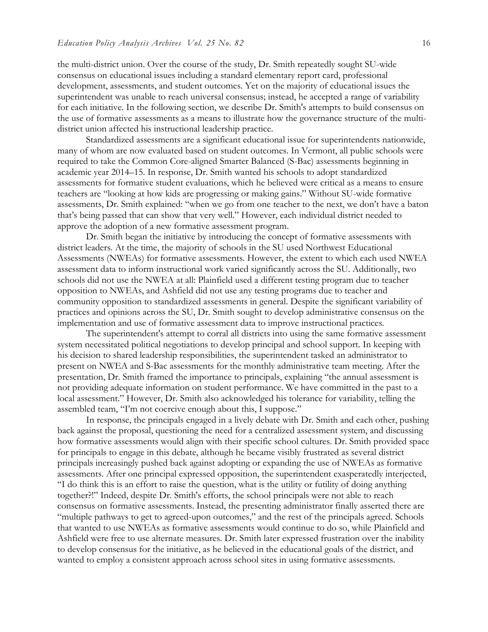the multi-district union. Over the course of the study, Dr. Smith repeatedly sought SU-wide consensus on educational issues including a standard elementary report card, professional development, assessments, and student outcomes. Yet on the majority of educational issues the superintendent was unable to reach universal consensus; instead, he accepted a range of variability for each initiative. In the following section, we describe Dr. Smith's attempts to build consensus on the use of formative assessments as a means to illustrate how the governance structure of the multidistrict union affected his instructional leadership practice.

 Standardized assessments are a significant educational issue for superintendents nationwide, many of whom are now evaluated based on student outcomes. In Vermont, all public schools were required to take the Common Core-aligned Smarter Balanced (S-Bac) assessments beginning in academic year 2014–15. In response, Dr. Smith wanted his schools to adopt standardized assessments for formative student evaluations, which he believed were critical as a means to ensure teachers are "looking at how kids are progressing or making gains." Without SU-wide formative assessments, Dr. Smith explained: "when we go from one teacher to the next, we don't have a baton that's being passed that can show that very well." However, each individual district needed to approve the adoption of a new formative assessment program.

Dr. Smith began the initiative by introducing the concept of formative assessments with district leaders. At the time, the majority of schools in the SU used Northwest Educational Assessments (NWEAs) for formative assessments. However, the extent to which each used NWEA assessment data to inform instructional work varied significantly across the SU. Additionally, two schools did not use the NWEA at all: Plainfield used a different testing program due to teacher opposition to NWEAs, and Ashfield did not use any testing programs due to teacher and community opposition to standardized assessments in general. Despite the significant variability of practices and opinions across the SU, Dr. Smith sought to develop administrative consensus on the implementation and use of formative assessment data to improve instructional practices.

The superintendent's attempt to corral all districts into using the same formative assessment system necessitated political negotiations to develop principal and school support. In keeping with his decision to shared leadership responsibilities, the superintendent tasked an administrator to present on NWEA and S-Bac assessments for the monthly administrative team meeting. After the presentation, Dr. Smith framed the importance to principals, explaining "the annual assessment is not providing adequate information on student performance. We have committed in the past to a local assessment." However, Dr. Smith also acknowledged his tolerance for variability, telling the assembled team, "I'm not coercive enough about this, I suppose."

In response, the principals engaged in a lively debate with Dr. Smith and each other, pushing back against the proposal, questioning the need for a centralized assessment system, and discussing how formative assessments would align with their specific school cultures. Dr. Smith provided space for principals to engage in this debate, although he became visibly frustrated as several district principals increasingly pushed back against adopting or expanding the use of NWEAs as formative assessments. After one principal expressed opposition, the superintendent exasperatedly interjected, "I do think this is an effort to raise the question, what is the utility or futility of doing anything together?!" Indeed, despite Dr. Smith's efforts, the school principals were not able to reach consensus on formative assessments. Instead, the presenting administrator finally asserted there are "multiple pathways to get to agreed-upon outcomes," and the rest of the principals agreed. Schools that wanted to use NWEAs as formative assessments would continue to do so, while Plainfield and Ashfield were free to use alternate measures. Dr. Smith later expressed frustration over the inability to develop consensus for the initiative, as he believed in the educational goals of the district, and wanted to employ a consistent approach across school sites in using formative assessments.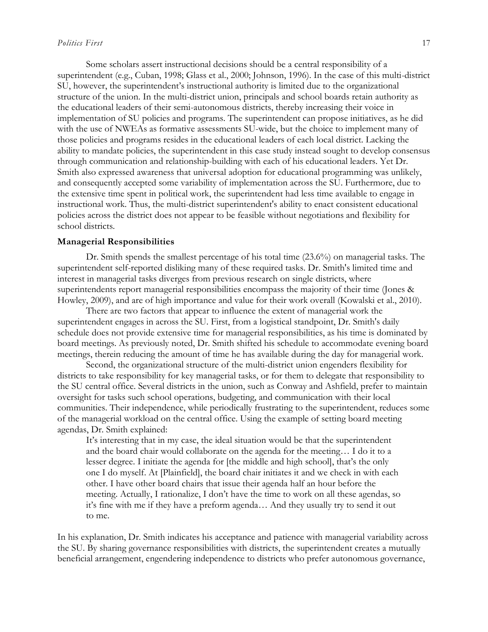#### *Politics First* 17

Some scholars assert instructional decisions should be a central responsibility of a superintendent (e.g., Cuban, 1998; Glass et al., 2000; Johnson, 1996). In the case of this multi-district SU, however, the superintendent's instructional authority is limited due to the organizational structure of the union. In the multi-district union, principals and school boards retain authority as the educational leaders of their semi-autonomous districts, thereby increasing their voice in implementation of SU policies and programs. The superintendent can propose initiatives, as he did with the use of NWEAs as formative assessments SU-wide, but the choice to implement many of those policies and programs resides in the educational leaders of each local district. Lacking the ability to mandate policies, the superintendent in this case study instead sought to develop consensus through communication and relationship-building with each of his educational leaders. Yet Dr. Smith also expressed awareness that universal adoption for educational programming was unlikely, and consequently accepted some variability of implementation across the SU. Furthermore, due to the extensive time spent in political work, the superintendent had less time available to engage in instructional work. Thus, the multi-district superintendent's ability to enact consistent educational policies across the district does not appear to be feasible without negotiations and flexibility for school districts.

## **Managerial Responsibilities**

Dr. Smith spends the smallest percentage of his total time (23.6%) on managerial tasks. The superintendent self-reported disliking many of these required tasks. Dr. Smith's limited time and interest in managerial tasks diverges from previous research on single districts, where superintendents report managerial responsibilities encompass the majority of their time (Jones & Howley, 2009), and are of high importance and value for their work overall (Kowalski et al., 2010).

There are two factors that appear to influence the extent of managerial work the superintendent engages in across the SU. First, from a logistical standpoint, Dr. Smith's daily schedule does not provide extensive time for managerial responsibilities, as his time is dominated by board meetings. As previously noted, Dr. Smith shifted his schedule to accommodate evening board meetings, therein reducing the amount of time he has available during the day for managerial work.

Second, the organizational structure of the multi-district union engenders flexibility for districts to take responsibility for key managerial tasks, or for them to delegate that responsibility to the SU central office. Several districts in the union, such as Conway and Ashfield, prefer to maintain oversight for tasks such school operations, budgeting, and communication with their local communities. Their independence, while periodically frustrating to the superintendent, reduces some of the managerial workload on the central office. Using the example of setting board meeting agendas, Dr. Smith explained:

It's interesting that in my case, the ideal situation would be that the superintendent and the board chair would collaborate on the agenda for the meeting… I do it to a lesser degree. I initiate the agenda for [the middle and high school], that's the only one I do myself. At [Plainfield], the board chair initiates it and we check in with each other. I have other board chairs that issue their agenda half an hour before the meeting. Actually, I rationalize, I don't have the time to work on all these agendas, so it's fine with me if they have a preform agenda… And they usually try to send it out to me.

In his explanation, Dr. Smith indicates his acceptance and patience with managerial variability across the SU. By sharing governance responsibilities with districts, the superintendent creates a mutually beneficial arrangement, engendering independence to districts who prefer autonomous governance,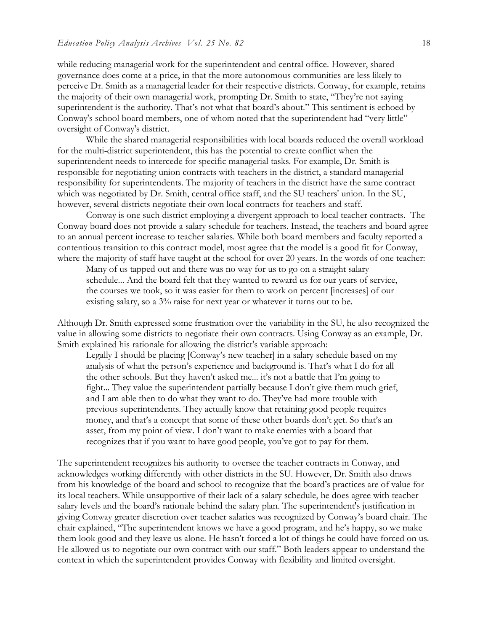while reducing managerial work for the superintendent and central office. However, shared governance does come at a price, in that the more autonomous communities are less likely to perceive Dr. Smith as a managerial leader for their respective districts. Conway, for example, retains the majority of their own managerial work, prompting Dr. Smith to state, "They're not saying superintendent is the authority. That's not what that board's about." This sentiment is echoed by Conway's school board members, one of whom noted that the superintendent had "very little" oversight of Conway's district.

While the shared managerial responsibilities with local boards reduced the overall workload for the multi-district superintendent, this has the potential to create conflict when the superintendent needs to intercede for specific managerial tasks. For example, Dr. Smith is responsible for negotiating union contracts with teachers in the district, a standard managerial responsibility for superintendents. The majority of teachers in the district have the same contract which was negotiated by Dr. Smith, central office staff, and the SU teachers' union. In the SU, however, several districts negotiate their own local contracts for teachers and staff.

Conway is one such district employing a divergent approach to local teacher contracts. The Conway board does not provide a salary schedule for teachers. Instead, the teachers and board agree to an annual percent increase to teacher salaries. While both board members and faculty reported a contentious transition to this contract model, most agree that the model is a good fit for Conway, where the majority of staff have taught at the school for over 20 years. In the words of one teacher:

Many of us tapped out and there was no way for us to go on a straight salary schedule... And the board felt that they wanted to reward us for our years of service, the courses we took, so it was easier for them to work on percent [increases] of our existing salary, so a 3% raise for next year or whatever it turns out to be.

Although Dr. Smith expressed some frustration over the variability in the SU, he also recognized the value in allowing some districts to negotiate their own contracts. Using Conway as an example, Dr. Smith explained his rationale for allowing the district's variable approach:

Legally I should be placing [Conway's new teacher] in a salary schedule based on my analysis of what the person's experience and background is. That's what I do for all the other schools. But they haven't asked me... it's not a battle that I'm going to fight... They value the superintendent partially because I don't give them much grief, and I am able then to do what they want to do. They've had more trouble with previous superintendents. They actually know that retaining good people requires money, and that's a concept that some of these other boards don't get. So that's an asset, from my point of view. I don't want to make enemies with a board that recognizes that if you want to have good people, you've got to pay for them.

The superintendent recognizes his authority to oversee the teacher contracts in Conway, and acknowledges working differently with other districts in the SU. However, Dr. Smith also draws from his knowledge of the board and school to recognize that the board's practices are of value for its local teachers. While unsupportive of their lack of a salary schedule, he does agree with teacher salary levels and the board's rationale behind the salary plan. The superintendent's justification in giving Conway greater discretion over teacher salaries was recognized by Conway's board chair. The chair explained, "The superintendent knows we have a good program, and he's happy, so we make them look good and they leave us alone. He hasn't forced a lot of things he could have forced on us. He allowed us to negotiate our own contract with our staff." Both leaders appear to understand the context in which the superintendent provides Conway with flexibility and limited oversight.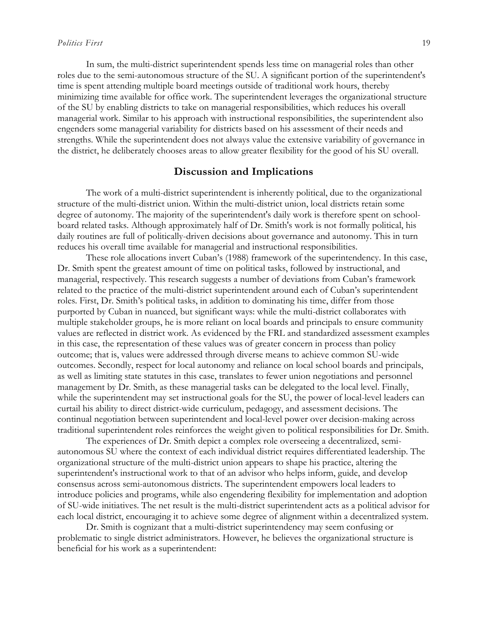In sum, the multi-district superintendent spends less time on managerial roles than other roles due to the semi-autonomous structure of the SU. A significant portion of the superintendent's time is spent attending multiple board meetings outside of traditional work hours, thereby minimizing time available for office work. The superintendent leverages the organizational structure of the SU by enabling districts to take on managerial responsibilities, which reduces his overall managerial work. Similar to his approach with instructional responsibilities, the superintendent also engenders some managerial variability for districts based on his assessment of their needs and strengths. While the superintendent does not always value the extensive variability of governance in the district, he deliberately chooses areas to allow greater flexibility for the good of his SU overall.

# **Discussion and Implications**

The work of a multi-district superintendent is inherently political, due to the organizational structure of the multi-district union. Within the multi-district union, local districts retain some degree of autonomy. The majority of the superintendent's daily work is therefore spent on schoolboard related tasks. Although approximately half of Dr. Smith's work is not formally political, his daily routines are full of politically-driven decisions about governance and autonomy. This in turn reduces his overall time available for managerial and instructional responsibilities.

These role allocations invert Cuban's (1988) framework of the superintendency. In this case, Dr. Smith spent the greatest amount of time on political tasks, followed by instructional, and managerial, respectively. This research suggests a number of deviations from Cuban's framework related to the practice of the multi-district superintendent around each of Cuban's superintendent roles. First, Dr. Smith's political tasks, in addition to dominating his time, differ from those purported by Cuban in nuanced, but significant ways: while the multi-district collaborates with multiple stakeholder groups, he is more reliant on local boards and principals to ensure community values are reflected in district work. As evidenced by the FRL and standardized assessment examples in this case, the representation of these values was of greater concern in process than policy outcome; that is, values were addressed through diverse means to achieve common SU-wide outcomes. Secondly, respect for local autonomy and reliance on local school boards and principals, as well as limiting state statutes in this case, translates to fewer union negotiations and personnel management by Dr. Smith, as these managerial tasks can be delegated to the local level. Finally, while the superintendent may set instructional goals for the SU, the power of local-level leaders can curtail his ability to direct district-wide curriculum, pedagogy, and assessment decisions. The continual negotiation between superintendent and local-level power over decision-making across traditional superintendent roles reinforces the weight given to political responsibilities for Dr. Smith.

The experiences of Dr. Smith depict a complex role overseeing a decentralized, semiautonomous SU where the context of each individual district requires differentiated leadership. The organizational structure of the multi-district union appears to shape his practice, altering the superintendent's instructional work to that of an advisor who helps inform, guide, and develop consensus across semi-autonomous districts. The superintendent empowers local leaders to introduce policies and programs, while also engendering flexibility for implementation and adoption of SU-wide initiatives. The net result is the multi-district superintendent acts as a political advisor for each local district, encouraging it to achieve some degree of alignment within a decentralized system.

Dr. Smith is cognizant that a multi-district superintendency may seem confusing or problematic to single district administrators. However, he believes the organizational structure is beneficial for his work as a superintendent: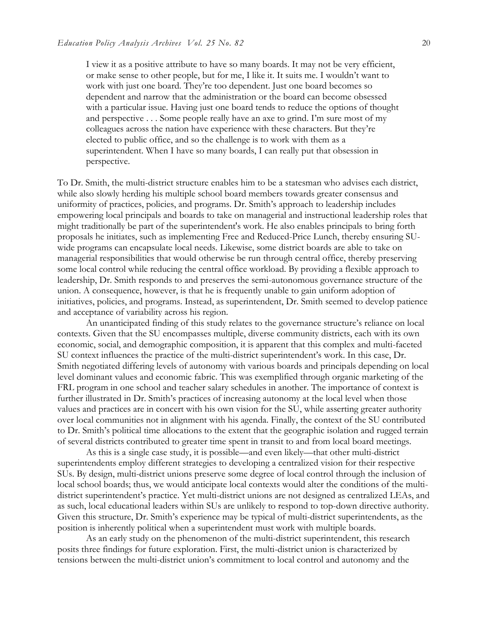I view it as a positive attribute to have so many boards. It may not be very efficient, or make sense to other people, but for me, I like it. It suits me. I wouldn't want to work with just one board. They're too dependent. Just one board becomes so dependent and narrow that the administration or the board can become obsessed with a particular issue. Having just one board tends to reduce the options of thought and perspective . . . Some people really have an axe to grind. I'm sure most of my colleagues across the nation have experience with these characters. But they're elected to public office, and so the challenge is to work with them as a superintendent. When I have so many boards, I can really put that obsession in perspective.

To Dr. Smith, the multi-district structure enables him to be a statesman who advises each district, while also slowly herding his multiple school board members towards greater consensus and uniformity of practices, policies, and programs. Dr. Smith's approach to leadership includes empowering local principals and boards to take on managerial and instructional leadership roles that might traditionally be part of the superintendent's work. He also enables principals to bring forth proposals he initiates, such as implementing Free and Reduced-Price Lunch, thereby ensuring SUwide programs can encapsulate local needs. Likewise, some district boards are able to take on managerial responsibilities that would otherwise be run through central office, thereby preserving some local control while reducing the central office workload. By providing a flexible approach to leadership, Dr. Smith responds to and preserves the semi-autonomous governance structure of the union. A consequence, however, is that he is frequently unable to gain uniform adoption of initiatives, policies, and programs. Instead, as superintendent, Dr. Smith seemed to develop patience and acceptance of variability across his region.

An unanticipated finding of this study relates to the governance structure's reliance on local contexts. Given that the SU encompasses multiple, diverse community districts, each with its own economic, social, and demographic composition, it is apparent that this complex and multi-faceted SU context influences the practice of the multi-district superintendent's work. In this case, Dr. Smith negotiated differing levels of autonomy with various boards and principals depending on local level dominant values and economic fabric. This was exemplified through organic marketing of the FRL program in one school and teacher salary schedules in another. The importance of context is further illustrated in Dr. Smith's practices of increasing autonomy at the local level when those values and practices are in concert with his own vision for the SU, while asserting greater authority over local communities not in alignment with his agenda. Finally, the context of the SU contributed to Dr. Smith's political time allocations to the extent that the geographic isolation and rugged terrain of several districts contributed to greater time spent in transit to and from local board meetings.

As this is a single case study, it is possible—and even likely—that other multi-district superintendents employ different strategies to developing a centralized vision for their respective SUs. By design, multi-district unions preserve some degree of local control through the inclusion of local school boards; thus, we would anticipate local contexts would alter the conditions of the multidistrict superintendent's practice. Yet multi-district unions are not designed as centralized LEAs, and as such, local educational leaders within SUs are unlikely to respond to top-down directive authority. Given this structure, Dr. Smith's experience may be typical of multi-district superintendents, as the position is inherently political when a superintendent must work with multiple boards.

As an early study on the phenomenon of the multi-district superintendent, this research posits three findings for future exploration. First, the multi-district union is characterized by tensions between the multi-district union's commitment to local control and autonomy and the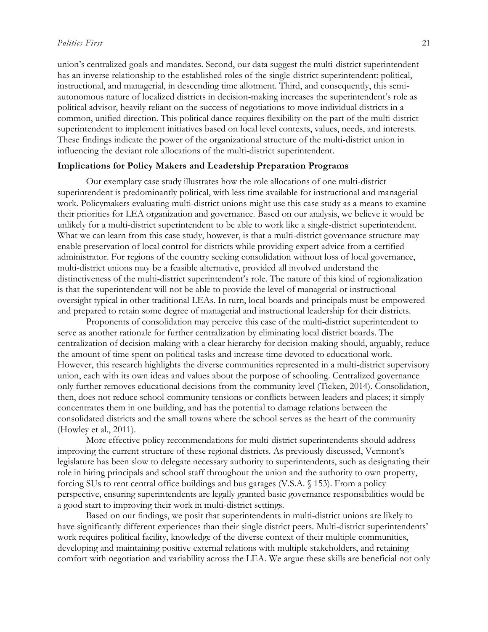union's centralized goals and mandates. Second, our data suggest the multi-district superintendent has an inverse relationship to the established roles of the single-district superintendent: political, instructional, and managerial, in descending time allotment. Third, and consequently, this semiautonomous nature of localized districts in decision-making increases the superintendent's role as political advisor, heavily reliant on the success of negotiations to move individual districts in a common, unified direction. This political dance requires flexibility on the part of the multi-district superintendent to implement initiatives based on local level contexts, values, needs, and interests. These findings indicate the power of the organizational structure of the multi-district union in influencing the deviant role allocations of the multi-district superintendent.

#### **Implications for Policy Makers and Leadership Preparation Programs**

Our exemplary case study illustrates how the role allocations of one multi-district superintendent is predominantly political, with less time available for instructional and managerial work. Policymakers evaluating multi-district unions might use this case study as a means to examine their priorities for LEA organization and governance. Based on our analysis, we believe it would be unlikely for a multi-district superintendent to be able to work like a single-district superintendent. What we can learn from this case study, however, is that a multi-district governance structure may enable preservation of local control for districts while providing expert advice from a certified administrator. For regions of the country seeking consolidation without loss of local governance, multi-district unions may be a feasible alternative, provided all involved understand the distinctiveness of the multi-district superintendent's role. The nature of this kind of regionalization is that the superintendent will not be able to provide the level of managerial or instructional oversight typical in other traditional LEAs. In turn, local boards and principals must be empowered and prepared to retain some degree of managerial and instructional leadership for their districts.

Proponents of consolidation may perceive this case of the multi-district superintendent to serve as another rationale for further centralization by eliminating local district boards. The centralization of decision-making with a clear hierarchy for decision-making should, arguably, reduce the amount of time spent on political tasks and increase time devoted to educational work. However, this research highlights the diverse communities represented in a multi-district supervisory union, each with its own ideas and values about the purpose of schooling. Centralized governance only further removes educational decisions from the community level (Tieken, 2014). Consolidation, then, does not reduce school-community tensions or conflicts between leaders and places; it simply concentrates them in one building, and has the potential to damage relations between the consolidated districts and the small towns where the school serves as the heart of the community (Howley et al., 2011).

More effective policy recommendations for multi-district superintendents should address improving the current structure of these regional districts. As previously discussed, Vermont's legislature has been slow to delegate necessary authority to superintendents, such as designating their role in hiring principals and school staff throughout the union and the authority to own property, forcing SUs to rent central office buildings and bus garages (V.S.A. § 153). From a policy perspective, ensuring superintendents are legally granted basic governance responsibilities would be a good start to improving their work in multi-district settings.

Based on our findings, we posit that superintendents in multi-district unions are likely to have significantly different experiences than their single district peers. Multi-district superintendents' work requires political facility, knowledge of the diverse context of their multiple communities, developing and maintaining positive external relations with multiple stakeholders, and retaining comfort with negotiation and variability across the LEA. We argue these skills are beneficial not only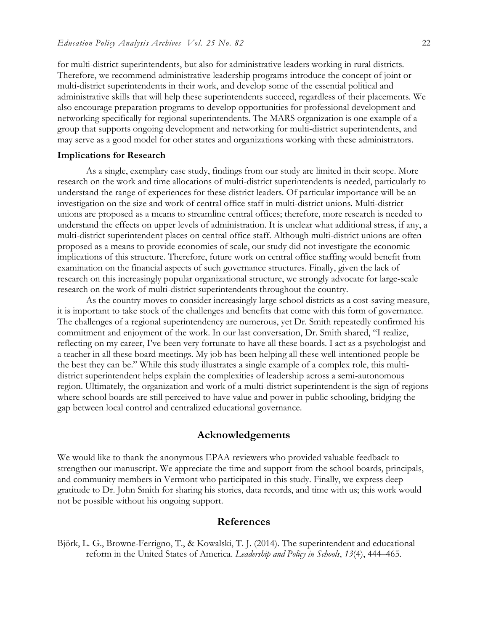for multi-district superintendents, but also for administrative leaders working in rural districts. Therefore, we recommend administrative leadership programs introduce the concept of joint or multi-district superintendents in their work, and develop some of the essential political and administrative skills that will help these superintendents succeed, regardless of their placements. We also encourage preparation programs to develop opportunities for professional development and networking specifically for regional superintendents. The MARS organization is one example of a group that supports ongoing development and networking for multi-district superintendents, and may serve as a good model for other states and organizations working with these administrators.

#### **Implications for Research**

As a single, exemplary case study, findings from our study are limited in their scope. More research on the work and time allocations of multi-district superintendents is needed, particularly to understand the range of experiences for these district leaders. Of particular importance will be an investigation on the size and work of central office staff in multi-district unions. Multi-district unions are proposed as a means to streamline central offices; therefore, more research is needed to understand the effects on upper levels of administration. It is unclear what additional stress, if any, a multi-district superintendent places on central office staff. Although multi-district unions are often proposed as a means to provide economies of scale, our study did not investigate the economic implications of this structure. Therefore, future work on central office staffing would benefit from examination on the financial aspects of such governance structures. Finally, given the lack of research on this increasingly popular organizational structure, we strongly advocate for large-scale research on the work of multi-district superintendents throughout the country.

As the country moves to consider increasingly large school districts as a cost-saving measure, it is important to take stock of the challenges and benefits that come with this form of governance. The challenges of a regional superintendency are numerous, yet Dr. Smith repeatedly confirmed his commitment and enjoyment of the work. In our last conversation, Dr. Smith shared, "I realize, reflecting on my career, I've been very fortunate to have all these boards. I act as a psychologist and a teacher in all these board meetings. My job has been helping all these well-intentioned people be the best they can be." While this study illustrates a single example of a complex role, this multidistrict superintendent helps explain the complexities of leadership across a semi-autonomous region. Ultimately, the organization and work of a multi-district superintendent is the sign of regions where school boards are still perceived to have value and power in public schooling, bridging the gap between local control and centralized educational governance.

# **Acknowledgements**

We would like to thank the anonymous EPAA reviewers who provided valuable feedback to strengthen our manuscript. We appreciate the time and support from the school boards, principals, and community members in Vermont who participated in this study. Finally, we express deep gratitude to Dr. John Smith for sharing his stories, data records, and time with us; this work would not be possible without his ongoing support.

## **References**

Björk, L. G., Browne-Ferrigno, T., & Kowalski, T. J. (2014). The superintendent and educational reform in the United States of America. *Leadership and Policy in Schools*, *13*(4), 444–465.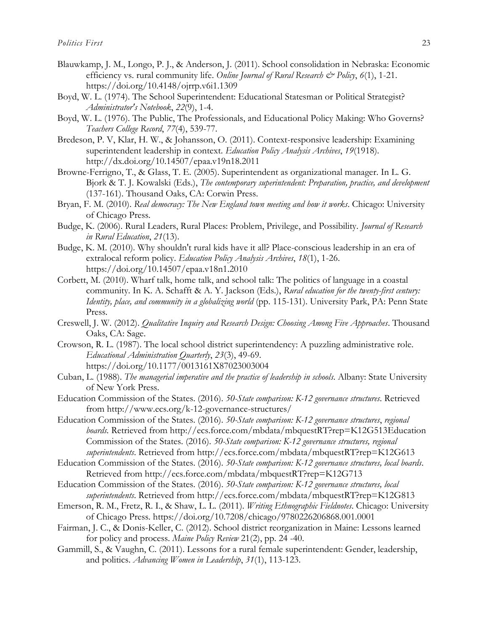- Blauwkamp, J. M., Longo, P. J., & Anderson, J. (2011). School consolidation in Nebraska: Economic efficiency vs. rural community life. *Online Journal of Rural Research & Policy*, *6*(1), 1-21. <https://doi.org/10.4148/ojrrp.v6i1.1309>
- Boyd, W. L. (1974). The School Superintendent: Educational Statesman or Political Strategist? *Administrator's Notebook*, *22*(9), 1-4.
- Boyd, W. L. (1976). The Public, The Professionals, and Educational Policy Making: Who Governs? *Teachers College Record*, *77*(4), 539-77.
- Bredeson, P. V, Klar, H. W., & Johansson, O. (2011). Context-responsive leadership: Examining superintendent leadership in context. *Education Policy Analysis Archives*, *19*(1918). http://dx.doi.org/10.14507/epaa.v19n18.2011
- Browne-Ferrigno, T., & Glass, T. E. (2005). Superintendent as organizational manager. In L. G. Bjork & T. J. Kowalski (Eds.), *The contemporary superintendent: Preparation, practice, and development* (137-161). Thousand Oaks, CA: Corwin Press.
- Bryan, F. M. (2010). *Real democracy: The New England town meeting and how it works*. Chicago: University of Chicago Press.
- Budge, K. (2006). Rural Leaders, Rural Places: Problem, Privilege, and Possibility. *Journal of Research in Rural Education*, *21*(13).
- Budge, K. M. (2010). Why shouldn't rural kids have it all? Place-conscious leadership in an era of extralocal reform policy. *Education Policy Analysis Archives*, *18*(1), 1-26. <https://doi.org/10.14507/epaa.v18n1.2010>
- Corbett, M. (2010). Wharf talk, home talk, and school talk: The politics of language in a coastal community. In K. A. Schafft & A. Y. Jackson (Eds.), *Rural education for the twenty-first century: Identity, place, and community in a globalizing world* (pp. 115-131). University Park, PA: Penn State Press.
- Creswell, J. W. (2012). *Qualitative Inquiry and Research Design: Choosing Among Five Approaches*. Thousand Oaks, CA: Sage.
- Crowson, R. L. (1987). The local school district superintendency: A puzzling administrative role. *Educational Administration Quarterly*, *23*(3), 49-69. <https://doi.org/10.1177/0013161X87023003004>
- Cuban, L. (1988). *The managerial imperative and the practice of leadership in schools*. Albany: State University of New York Press.
- Education Commission of the States. (2016). *50-State comparison: K-12 governance structures*. Retrieved from<http://www.ecs.org/k-12-governance-structures/>
- Education Commission of the States. (2016). *50-State comparison: K-12 governance structures*, *regional boards.* Retrieved from [http://ecs.force.com/mbdata/mbquestRT?rep=K12G513E](http://ecs.force.com/mbdata/mbquestRT?rep=K12G513)ducation Commission of the States. (2016). *50-State comparison: K-12 governance structures, regional superintendents*. Retrieved from<http://ecs.force.com/mbdata/mbquestRT?rep=K12G613>
- Education Commission of the States. (2016). *50-State comparison: K-12 governance structures, local boards*. Retrieved from<http://ecs.force.com/mbdata/mbquestRT?rep=K12G713>
- Education Commission of the States. (2016). *50-State comparison: K-12 governance structures, local superintendents*. Retrieved from<http://ecs.force.com/mbdata/mbquestRT?rep=K12G813>
- Emerson, R. M., Fretz, R. I., & Shaw, L. L. (2011). *Writing Ethnographic Fieldnotes*. Chicago: University of Chicago Press.<https://doi.org/10.7208/chicago/9780226206868.001.0001>
- Fairman, J. C., & Donis-Keller, C. (2012). School district reorganization in Maine: Lessons learned for policy and process. *Maine Policy Review* 21(2), pp. 24 -40.
- Gammill, S., & Vaughn, C. (2011). Lessons for a rural female superintendent: Gender, leadership, and politics. *Advancing Women in Leadership*, *31*(1), 113-123.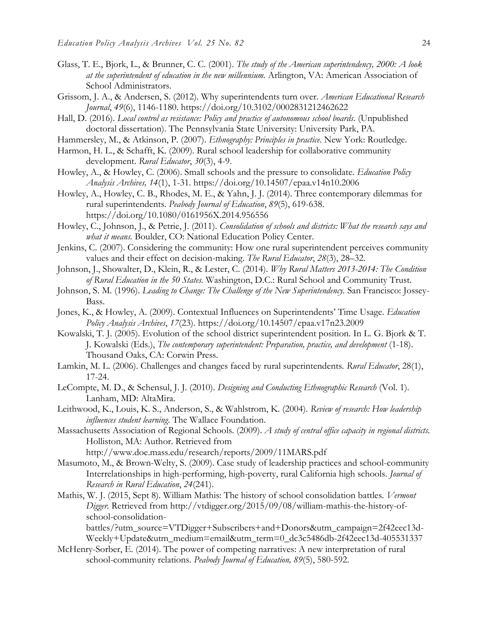- Glass, T. E., Bjork, L., & Brunner, C. C. (2001). *The study of the American superintendency, 2000: A look at the superintendent of education in the new millennium.* Arlington, VA: American Association of School Administrators.
- Grissom, J. A., & Andersen, S. (2012). Why superintendents turn over. *American Educational Research Journal*, *49*(6), 1146-1180.<https://doi.org/10.3102/0002831212462622>
- Hall, D. (2016). *Local control as resistance: Policy and practice of autonomous school boards*. (Unpublished doctoral dissertation). The Pennsylvania State University: University Park, PA.
- Hammersley, M., & Atkinson, P. (2007). *Ethnography: Principles in practice*. New York: Routledge.
- Harmon, H. L., & Schafft, K. (2009). Rural school leadership for collaborative community development. *Rural Educator*, *30*(3), 4-9.
- Howley, A., & Howley, C. (2006). Small schools and the pressure to consolidate. *Education Policy Analysis Archives, 14*(1), 1-31.<https://doi.org/10.14507/epaa.v14n10.2006>
- Howley, A., Howley, C. B., Rhodes, M. E., & Yahn, J. J. (2014). Three contemporary dilemmas for rural superintendents. *Peabody Journal of Education*, *89*(5), 619-638. <https://doi.org/10.1080/0161956X.2014.956556>
- Howley, C., Johnson, J., & Petrie, J. (2011). *Consolidation of schools and districts: What the research says and what it means.* Boulder, CO: National Education Policy Center.
- Jenkins, C. (2007). Considering the community: How one rural superintendent perceives community values and their effect on decision-making. *The Rural Educator*, *28*(3), 28–32.
- Johnson, J., Showalter, D., Klein, R., & Lester, C. (2014). *Why Rural Matters 2013-2014: The Condition of Rural Education in the 50 States.* Washington, D.C.: Rural School and Community Trust.
- Johnson, S. M. (1996). *Leading to Change: The Challenge of the New Superintendency*. San Francisco: Jossey-Bass.
- Jones, K., & Howley, A. (2009). Contextual Influences on Superintendents' Time Usage. *Education Policy Analysis Archives*, *17*(23).<https://doi.org/10.14507/epaa.v17n23.2009>
- Kowalski, T. J. (2005). Evolution of the school district superintendent position. In L. G. Bjork & T. J. Kowalski (Eds.), *The contemporary superintendent: Preparation, practice, and development* (1-18). Thousand Oaks, CA: Corwin Press.
- Lamkin, M. L. (2006). Challenges and changes faced by rural superintendents. *Rural Educator*, 28(1), 17-24.
- LeCompte, M. D., & Schensul, J. J. (2010). *Designing and Conducting Ethnographic Research* (Vol. 1). Lanham, MD: AltaMira.
- Leithwood, K., Louis, K. S., Anderson, S., & Wahlstrom, K. (2004). *Review of research: How leadership influences student learning.* The Wallace Foundation.
- Massachusetts Association of Regional Schools. (2009). *A study of central office capacity in regional districts.*  Holliston, MA: Author. Retrieved from

<http://www.doe.mass.edu/research/reports/2009/11MARS.pdf>

- Masumoto, M., & Brown-Welty, S. (2009). Case study of leadership practices and school-community Interrelationships in high-performing, high-poverty, rural California high schools. *Journal of Research in Rural Education*, *24*(241).
- Mathis, W. J. (2015, Sept 8). William Mathis: The history of school consolidation battles. *Vermont Digger.* Retrieved from [http://vtdigger.org/2015/09/08/william-mathis-the-history-of](http://vtdigger.org/2015/09/08/william-mathis-the-history-of-school-consolidation-battles/?utm_source=VTDigger+Subscribers+and+Donors&utm_campaign=2f42eec13d-Weekly+Update&utm_medium=email&utm_term=0_dc3c5486db-2f42eec13d-405531337)[school-consolidation-](http://vtdigger.org/2015/09/08/william-mathis-the-history-of-school-consolidation-battles/?utm_source=VTDigger+Subscribers+and+Donors&utm_campaign=2f42eec13d-Weekly+Update&utm_medium=email&utm_term=0_dc3c5486db-2f42eec13d-405531337)

[battles/?utm\\_source=VTDigger+Subscribers+and+Donors&utm\\_campaign=2f42eec13d-](http://vtdigger.org/2015/09/08/william-mathis-the-history-of-school-consolidation-battles/?utm_source=VTDigger+Subscribers+and+Donors&utm_campaign=2f42eec13d-Weekly+Update&utm_medium=email&utm_term=0_dc3c5486db-2f42eec13d-405531337)[Weekly+Update&utm\\_medium=email&utm\\_term=0\\_dc3c5486db-2f42eec13d-405531337](http://vtdigger.org/2015/09/08/william-mathis-the-history-of-school-consolidation-battles/?utm_source=VTDigger+Subscribers+and+Donors&utm_campaign=2f42eec13d-Weekly+Update&utm_medium=email&utm_term=0_dc3c5486db-2f42eec13d-405531337)

McHenry-Sorber, E. (2014). The power of competing narratives: A new interpretation of rural school-community relations. *Peabody Journal of Education, 89*(5), 580-592.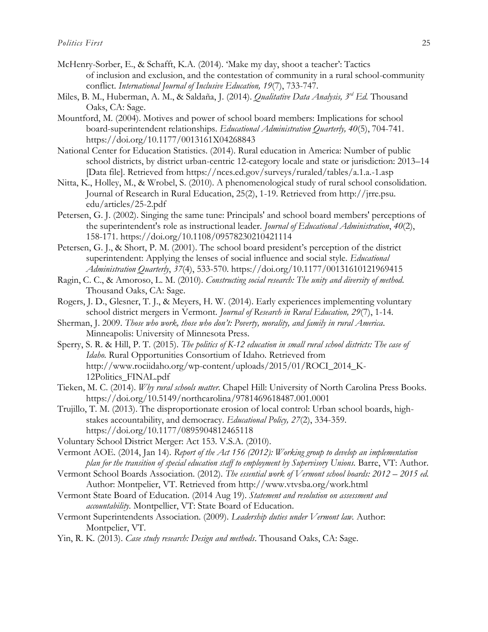- McHenry-Sorber, E., & Schafft, K.A. (2014). 'Make my day, shoot a teacher': Tactics of inclusion and exclusion, and the contestation of community in a rural school-community conflict. *International Journal of Inclusive Education, 19*(7), 733-747.
- Miles, B. M., Huberman, A. M., & Saldaña, J. (2014). *Qualitative Data Analysis, 3rd Ed.* Thousand Oaks, CA: Sage.
- Mountford, M. (2004). Motives and power of school board members: Implications for school board-superintendent relationships. *Educational Administration Quarterly, 40*(5), 704-741. <https://doi.org/10.1177/0013161X04268843>
- National Center for Education Statistics. (2014). Rural education in America: Number of public school districts, by district urban-centric 12-category locale and state or jurisdiction: 2013–14 [Data file]. Retrieved from<https://nces.ed.gov/surveys/ruraled/tables/a.1.a.-1.asp>
- Nitta, K., Holley, M., & Wrobel, S. (2010). A phenomenological study of rural school consolidation. Journal of Research in Rural Education, 25(2), 1-19. Retrieved from http://jrre.psu. edu/articles/25-2.pdf
- Petersen, G. J. (2002). Singing the same tune: Principals' and school board members' perceptions of the superintendent's role as instructional leader. *Journal of Educational Administration*, *40*(2), 158-171.<https://doi.org/10.1108/09578230210421114>
- Petersen, G. J., & Short, P. M. (2001). The school board president's perception of the district superintendent: Applying the lenses of social influence and social style. *Educational Administration Quarterly*, *37*(4), 533-570.<https://doi.org/10.1177/00131610121969415>
- Ragin, C. C., & Amoroso, L. M. (2010). *Constructing social research: The unity and diversity of method*. Thousand Oaks, CA: Sage.
- Rogers, J. D., Glesner, T. J., & Meyers, H. W. (2014). Early experiences implementing voluntary school district mergers in Vermont. *Journal of Research in Rural Education, 29*(7), 1-14.
- Sherman, J. 2009. *Those who work, those who don't: Poverty, morality, and family in rural America*. Minneapolis: University of Minnesota Press.
- Sperry, S. R. & Hill, P. T. (2015). *The politics of K-12 education in small rural school districts: The case of Idaho.* Rural Opportunities Consortium of Idaho*.* Retrieved from [http://www.rociidaho.org/wp-content/uploads/2015/01/ROCI\\_2014\\_K-](http://www.rociidaho.org/wp-content/uploads/2015/01/ROCI_2014_K-12Politics_FINAL.pdf)[12Politics\\_FINAL.pdf](http://www.rociidaho.org/wp-content/uploads/2015/01/ROCI_2014_K-12Politics_FINAL.pdf)
- Tieken, M. C. (2014). *Why rural schools matter*. Chapel Hill: University of North Carolina Press Books. <https://doi.org/10.5149/northcarolina/9781469618487.001.0001>
- Trujillo, T. M. (2013). The disproportionate erosion of local control: Urban school boards, highstakes accountability, and democracy. *Educational Policy, 27*(2), 334-359. <https://doi.org/10.1177/0895904812465118>
- Voluntary School District Merger: Act 153. V.S.A. (2010).

Vermont AOE. (2014, Jan 14). *Report of the Act 156 (2012): Working group to develop an implementation plan for the transition of special education staff to employment by Supervisory Unions. Barre, VT: Author.* 

- Vermont School Boards Association. (2012). *The essential work of Vermont school boards: 2012 2015 ed.* Author: Montpelier, VT. Retrieved from<http://www.vtvsba.org/work.html>
- Vermont State Board of Education. (2014 Aug 19). *Statement and resolution on assessment and accountability.* Montpellier, VT: State Board of Education.
- Vermont Superintendents Association. (2009). *Leadership duties under Vermont law.* Author: Montpelier, VT.
- Yin, R. K. (2013). *Case study research: Design and methods*. Thousand Oaks, CA: Sage.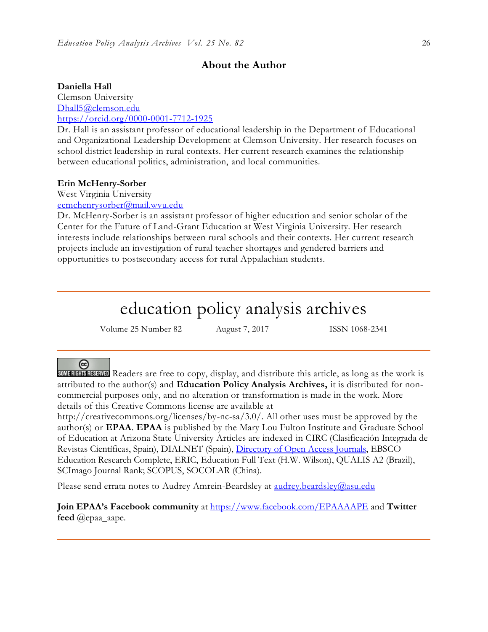# **About the Author**

#### **Daniella Hall**

Clemson University [Dhall5@clemson.edu](mailto:Dhall5@clemson.edu) <https://orcid.org/0000-0001-7712-1925>

Dr. Hall is an assistant professor of educational leadership in the Department of Educational and Organizational Leadership Development at Clemson University. Her research focuses on school district leadership in rural contexts. Her current research examines the relationship between educational politics, administration, and local communities.

#### **Erin McHenry-Sorber**

West Virginia University

[ecmchenrysorber@mail.wvu.edu](mailto:ecmchenrysorber@mail.wvu.edu)

Dr. McHenry-Sorber is an assistant professor of higher education and senior scholar of the Center for the Future of Land-Grant Education at West Virginia University. Her research interests include relationships between rural schools and their contexts. Her current research projects include an investigation of rural teacher shortages and gendered barriers and opportunities to postsecondary access for rural Appalachian students.

# education policy analysis archives

Volume 25 Number 82 August 7, 2017 ISSN 1068-2341

## $\left($

SOMERIST READERS are free to copy, display, and distribute this article, as long as the work is attributed to the author(s) and **Education Policy Analysis Archives,** it is distributed for noncommercial purposes only, and no alteration or transformation is made in the work. More details of this Creative Commons license are available at

http://creativecommons.org/licenses/by-nc-sa/3.0/. All other uses must be approved by the author(s) or **EPAA**. **EPAA** is published by the Mary Lou Fulton Institute and Graduate School of Education at Arizona State University Articles are indexed in CIRC (Clasificación Integrada de Revistas Científicas, Spain), DIALNET (Spain), [Directory of Open Access Journals,](http://www.doaj.org/) EBSCO Education Research Complete, ERIC, Education Full Text (H.W. Wilson), QUALIS A2 (Brazil), SCImago Journal Rank; SCOPUS, SOCOLAR (China).

Please send errata notes to Audrey Amrein-Beardsley at [audrey.beardsley@asu.edu](mailto:audrey.beardsley@asu.edu)

**Join EPAA's Facebook community** at<https://www.facebook.com/EPAAAAPE> and **Twitter feed** @epaa\_aape.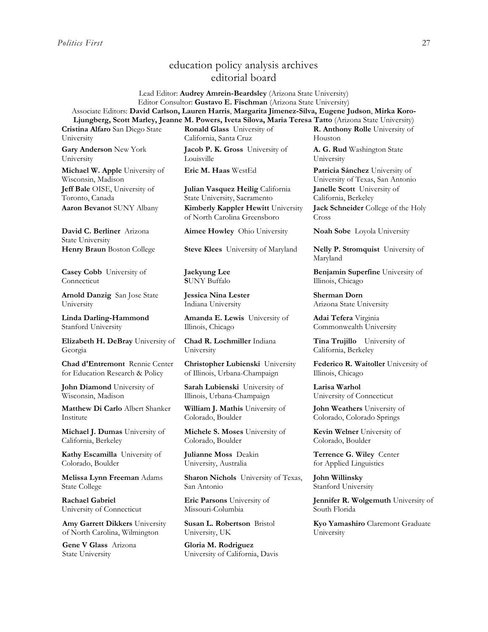# education policy analysis archives editorial board

Lead Editor: **Audrey Amrein-Beardsley** (Arizona State University) Editor Consultor: **Gustavo E. Fischman** (Arizona State University) Associate Editors: **David Carlson, Lauren Harris**, **Margarita Jimenez-Silva, Eugene Judson**, **Mirka Koro-Ljungberg, Scott Marley, Jeanne M. Powers, Iveta Silova, Maria Teresa Tatto** (Arizona State University)

**Cristina Alfaro** San Diego State University

**Gary Anderson** New York University

**Michael W. Apple** University of Wisconsin, Madison **Jeff Bale** OISE, University of Toronto, Canada

**David C. Berliner** Arizona State University

**Casey Cobb** University of **Connecticut** 

**Arnold Danzig** San Jose State University

**Linda Darling-Hammond**  Stanford University

**Elizabeth H. DeBray** University of Georgia

**Chad d'Entremont** Rennie Center for Education Research & Policy

**John Diamond** University of Wisconsin, Madison

**Matthew Di Carlo** Albert Shanker Institute

**Michael J. Dumas** University of California, Berkeley

**Kathy Escamilla** University of Colorado, Boulder

**Melissa Lynn Freeman** Adams State College

**Rachael Gabriel** University of Connecticut

**Amy Garrett Dikkers** University of North Carolina, Wilmington

**Gene V Glass** Arizona State University

**Ronald Glass** University of California, Santa Cruz

**Jacob P. K. Gross** University of Louisville

**Julian Vasquez Heilig** California State University, Sacramento **Aaron Bevanot** SUNY Albany **Kimberly Kappler Hewitt** University of North Carolina Greensboro

**Aimee Howley** Ohio University **Noah Sobe** Loyola University

**Henry Braun** Boston College **Steve Klees** University of Maryland **Nelly P. Stromquist** University of

**Jaekyung Lee S**UNY Buffalo

**Jessica Nina Lester** Indiana University

**Amanda E. Lewis** University of Illinois, Chicago

**Chad R. Lochmiller** Indiana University

**Christopher Lubienski** University of Illinois, Urbana-Champaign

**Sarah Lubienski** University of Illinois, Urbana-Champaign

**William J. Mathis** University of Colorado, Boulder

**Michele S. Moses** University of Colorado, Boulder

**Julianne Moss** Deakin University, Australia

**Sharon Nichols** University of Texas, San Antonio

**Eric Parsons** University of Missouri-Columbia

**Susan L. Robertson** Bristol University, UK

**Gloria M. Rodriguez** University of California, Davis **R. Anthony Rolle** University of Houston

**A. G. Rud** Washington State University

**Eric M. Haas** WestEd **Patricia Sánchez** University of University of Texas, San Antonio **Janelle Scott** University of California, Berkeley

> **Jack Schneider** College of the Holy Cross

Maryland

**Benjamin Superfine** University of Illinois, Chicago

**Sherman Dorn** Arizona State University

**Adai Tefera** Virginia Commonwealth University

**Tina Trujillo** University of California, Berkeley

**Federico R. Waitoller** University of Illinois, Chicago

**Larisa Warhol** University of Connecticut

**John Weathers** University of Colorado, Colorado Springs

**Kevin Welner** University of Colorado, Boulder

**Terrence G. Wiley** Center for Applied Linguistics

**John Willinsky**  Stanford University

**Jennifer R. Wolgemuth University of** South Florida

**Kyo Yamashiro** Claremont Graduate University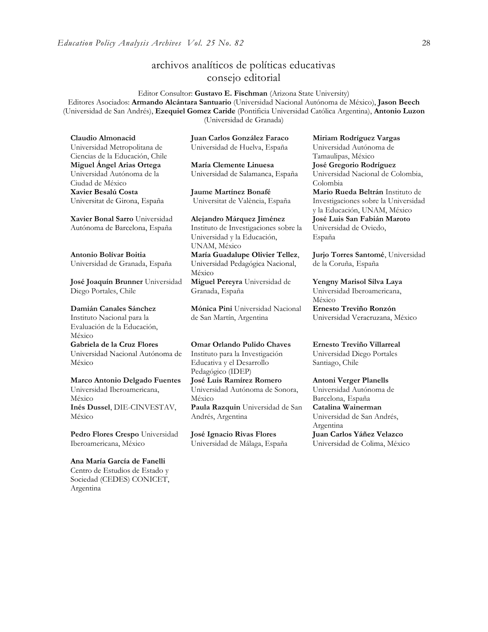# archivos analíticos de políticas educativas consejo editorial

Editor Consultor: **Gustavo E. Fischman** (Arizona State University) Editores Asociados: **Armando Alcántara Santuario** (Universidad Nacional Autónoma de México), **Jason Beech** (Universidad de San Andrés), **Ezequiel Gomez Caride** (Pontificia Universidad Católica Argentina), **Antonio Luzon** (Universidad de Granada)

**Claudio Almonacid** Universidad Metropolitana de Ciencias de la Educación, Chile **Miguel Ángel Arias Ortega**  Universidad Autónoma de la Ciudad de México **Xavier Besalú Costa**  Universitat de Girona, España

**[Xavier Bonal](javascript:openRTWindow() Sarro** Universidad Autónoma de Barcelona, España

**[Antonio Bolívar](javascript:openRTWindow() Boitia** Universidad de Granada, España

**[José Joaquín Brunner](javascript:openRTWindow()** Universidad Diego Portales, Chile

**[Damián Canales Sánchez](javascript:openRTWindow()** Instituto Nacional para la Evaluación de la Educación, México **Gabriela de la Cruz Flores** Universidad Nacional Autónoma de México

**[Marco Antonio Delgado Fuentes](javascript:openRTWindow()** Universidad Iberoamericana, México **[Inés Dussel](javascript:openRTWindow()**, DIE-CINVESTAV, México

**[Pedro Flores Crespo](javascript:openRTWindow()** Universidad Iberoamericana, México

**Ana María García de Fanelli**  Centro de Estudios de Estado y Sociedad (CEDES) CONICET, Argentina

**Juan Carlos González Faraco**  Universidad de Huelva, España

**María Clemente Linuesa**  Universidad de Salamanca, España

**Jaume Martínez Bonafé** Universitat de València, España

**Alejandro Márquez Jiménez**  Instituto de Investigaciones sobre la Universidad y la Educación, UNAM, México **María Guadalupe Olivier Tellez**, Universidad Pedagógica Nacional, México

**[Miguel Pereyra](javascript:openRTWindow()** Universidad de Granada, España

**[Mónica Pini](javascript:openRTWindow()** Universidad Nacional de San Martín, Argentina

**Omar Orlando Pulido Chaves** Instituto para la Investigación Educativa y el Desarrollo Pedagógico (IDEP) **[José Luis Ramírez](javascript:openRTWindow() Romero** Universidad Autónoma de Sonora, México **[Paula Razquin](javascript:openRTWindow()** Universidad de San Andrés, Argentina

**José Ignacio Rivas Flores** Universidad de Málaga, España **[Miriam Rodríguez Vargas](javascript:openRTWindow()** Universidad Autónoma de Tamaulipas, México **José Gregorio Rodríguez**  Universidad Nacional de Colombia, Colombia **[Mario Rueda Beltrán](javascript:openRTWindow()** Instituto de Investigaciones sobre la Universidad y la Educación, UNAM, México **José Luis San Fabián Maroto**  Universidad de Oviedo, España

**[Jurjo Torres Santomé](javascript:openRTWindow()**, Universidad de la Coruña, España

**[Yengny Marisol Silva Laya](javascript:openRTWindow()** Universidad Iberoamericana, México

**Ernesto Treviño Ronzón** Universidad Veracruzana, México

**[Ernesto Treviño](javascript:openRTWindow() Villarreal** Universidad Diego Portales Santiago, Chile

**[Antoni Verger Planells](javascript:openRTWindow()** Universidad Autónoma de Barcelona, España **[Catalina Wainerman](javascript:openRTWindow()** Universidad de San Andrés, Argentina **Juan Carlos Yáñez Velazco** Universidad de Colima, México